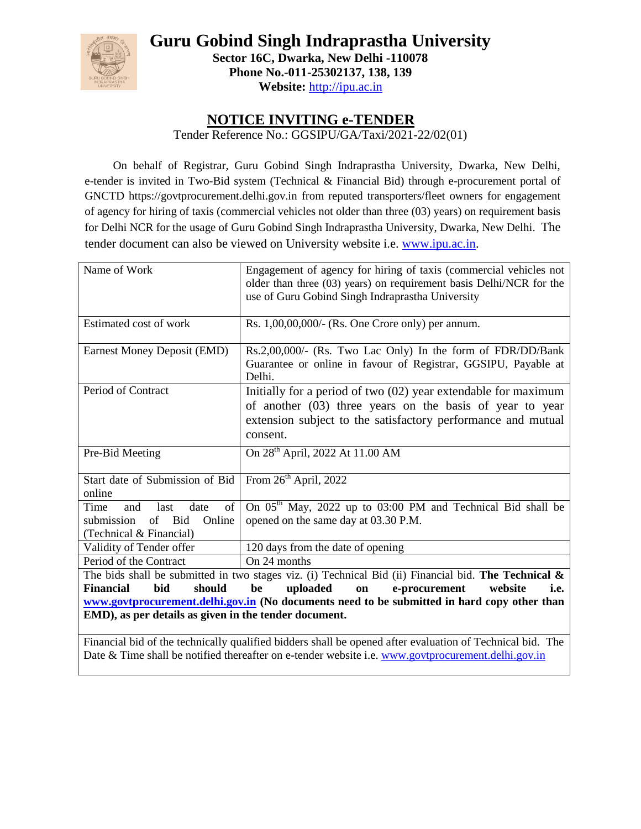

**Guru Gobind Singh Indraprastha University Sector 16C, Dwarka, New Delhi -110078 Phone No.-011-25302137, 138, 139 Website:** [http://ipu.ac.in](http://ipu.ac.in/)

# **NOTICE INVITING e-TENDER**

Tender Reference No.: GGSIPU/GA/Taxi/2021-22/02(01)

On behalf of Registrar, Guru Gobind Singh Indraprastha University, Dwarka, New Delhi, e-tender is invited in Two-Bid system (Technical & Financial Bid) through e-procurement portal of GNCTD https://govtprocurement.delhi.gov.in from reputed transporters/fleet owners for engagement of agency for hiring of taxis (commercial vehicles not older than three (03) years) on requirement basis for Delhi NCR for the usage of Guru Gobind Singh Indraprastha University, Dwarka, New Delhi. The tender document can also be viewed on University website i.e. [www.ipu.ac.in.](http://www.ipu.ac.in/)

| Name of Work                                                                                             | Engagement of agency for hiring of taxis (commercial vehicles not<br>older than three (03) years) on requirement basis Delhi/NCR for the<br>use of Guru Gobind Singh Indraprastha University             |  |  |
|----------------------------------------------------------------------------------------------------------|----------------------------------------------------------------------------------------------------------------------------------------------------------------------------------------------------------|--|--|
| Estimated cost of work                                                                                   | Rs. 1,00,00,000/- (Rs. One Crore only) per annum.                                                                                                                                                        |  |  |
| <b>Earnest Money Deposit (EMD)</b>                                                                       | Rs.2,00,000/- (Rs. Two Lac Only) In the form of FDR/DD/Bank<br>Guarantee or online in favour of Registrar, GGSIPU, Payable at<br>Delhi.                                                                  |  |  |
| Period of Contract                                                                                       | Initially for a period of two $(02)$ year extendable for maximum<br>of another (03) three years on the basis of year to year<br>extension subject to the satisfactory performance and mutual<br>consent. |  |  |
| Pre-Bid Meeting                                                                                          | On 28 <sup>th</sup> April, 2022 At 11.00 AM                                                                                                                                                              |  |  |
| Start date of Submission of Bid<br>online                                                                | From 26 <sup>th</sup> April, 2022                                                                                                                                                                        |  |  |
| of<br>Time<br>last<br>date<br>and<br><b>Bid</b><br>of<br>Online<br>submission<br>(Technical & Financial) | On 05 <sup>th</sup> May, 2022 up to 03:00 PM and Technical Bid shall be<br>opened on the same day at 03.30 P.M.                                                                                          |  |  |
| Validity of Tender offer                                                                                 | 120 days from the date of opening                                                                                                                                                                        |  |  |
| Period of the Contract                                                                                   | On 24 months                                                                                                                                                                                             |  |  |
|                                                                                                          | The bids shall be submitted in two stages viz. (i) Technical Bid (ii) Financial bid. The Technical $\&$                                                                                                  |  |  |
| bid<br>should<br><b>Financial</b>                                                                        | uploaded<br>e-procurement<br>be<br>on<br>website<br>i.e.                                                                                                                                                 |  |  |
|                                                                                                          | www.govtprocurement.delhi.gov.in (No documents need to be submitted in hard copy other than                                                                                                              |  |  |
| EMD), as per details as given in the tender document.                                                    |                                                                                                                                                                                                          |  |  |
|                                                                                                          | Financial bid of the technically qualified bidders shall be opened after evaluation of Technical bid. The                                                                                                |  |  |

Date & Time shall be notified thereafter on e-tender website i.e. [www.govtprocurement.delhi.gov.in](http://www.govtprocurement.delhi.gov.in/)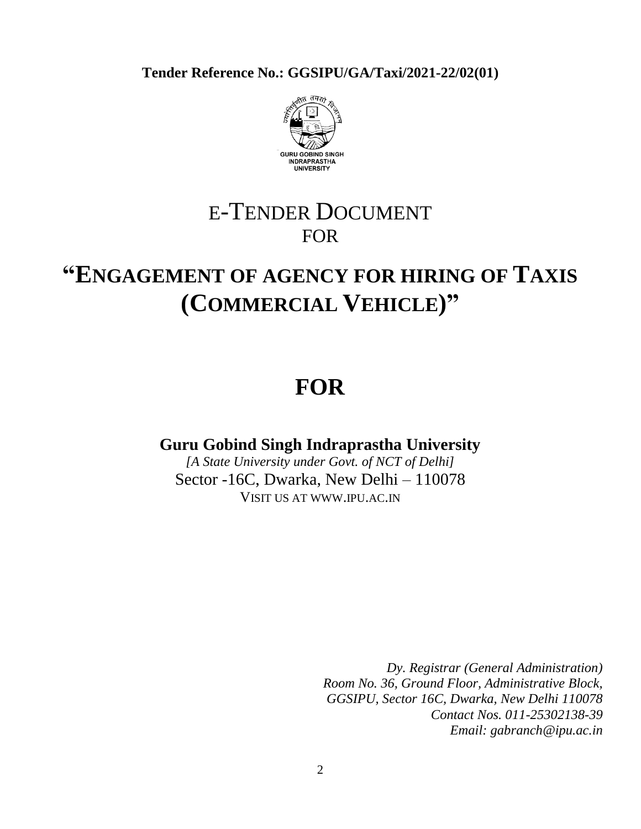**Tender Reference No.: GGSIPU/GA/Taxi/2021-22/02(01)**



# E-TENDER DOCUMENT FOR

# **"ENGAGEMENT OF AGENCY FOR HIRING OF TAXIS (COMMERCIAL VEHICLE)"**

# **FOR**

# **Guru Gobind Singh Indraprastha University**

*[A State University under Govt. of NCT of Delhi]* Sector -16C, Dwarka, New Delhi – 110078 VISIT US AT WWW.IPU.AC.IN

> *Dy. Registrar (General Administration) Room No. 36, Ground Floor, Administrative Block, GGSIPU, Sector 16C, Dwarka, New Delhi 110078 Contact Nos. 011-25302138-39 Email: gabranch@ipu.ac.in*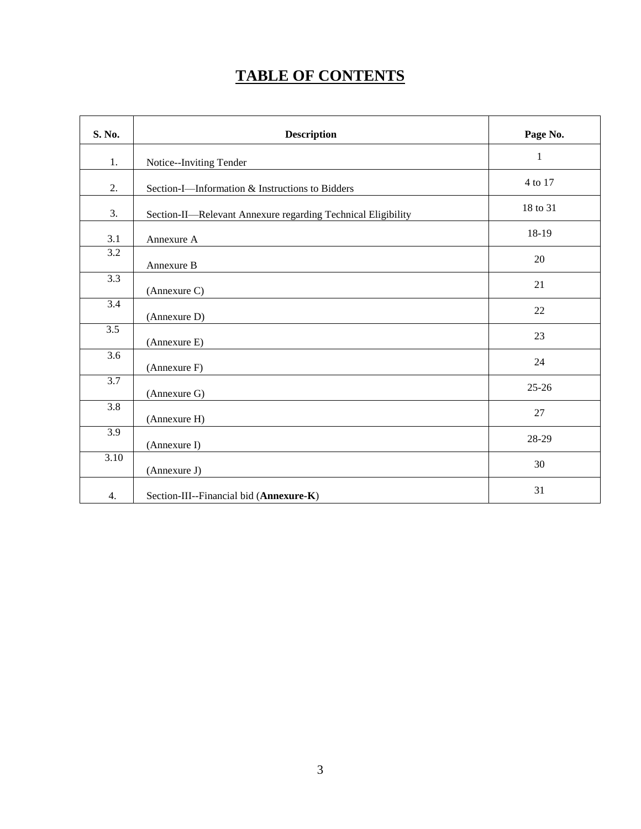# **TABLE OF CONTENTS**

| S. No.           | <b>Description</b>                                           | Page No.     |
|------------------|--------------------------------------------------------------|--------------|
| 1.               | Notice--Inviting Tender                                      | $\mathbf{1}$ |
| 2.               | Section-I-Information & Instructions to Bidders              | 4 to 17      |
| 3.               | Section-II-Relevant Annexure regarding Technical Eligibility | 18 to 31     |
| 3.1              | Annexure A                                                   | 18-19        |
| $\overline{3.2}$ | Annexure B                                                   | 20           |
| $\overline{3.3}$ | (Annexure C)                                                 | 21           |
| $\overline{3.4}$ | (Annexure D)                                                 | 22           |
| 3.5              | (Annexure E)                                                 | 23           |
| 3.6              | (Annexure F)                                                 | 24           |
| $\overline{3.7}$ | (Annexure G)                                                 | $25 - 26$    |
| 3.8              | (Annexure H)                                                 | 27           |
| $\overline{3.9}$ | (Annexure I)                                                 | 28-29        |
| 3.10             | (Annexure J)                                                 | 30           |
| 4.               | Section-III--Financial bid (Annexure-K)                      | 31           |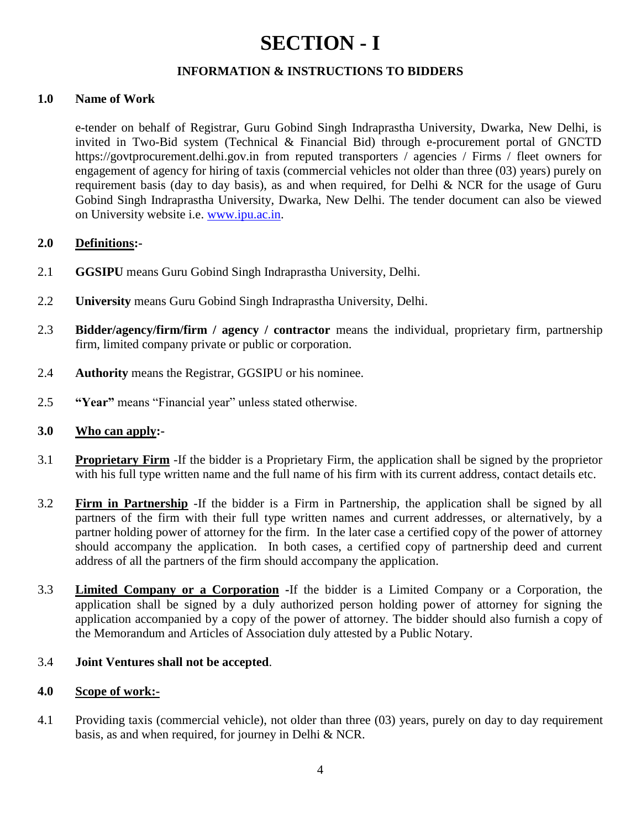# **SECTION - I**

# **INFORMATION & INSTRUCTIONS TO BIDDERS**

# **1.0 Name of Work**

e-tender on behalf of Registrar, Guru Gobind Singh Indraprastha University, Dwarka, New Delhi, is invited in Two-Bid system (Technical & Financial Bid) through e-procurement portal of GNCTD https://govtprocurement.delhi.gov.in from reputed transporters / agencies / Firms / fleet owners for engagement of agency for hiring of taxis (commercial vehicles not older than three (03) years) purely on requirement basis (day to day basis), as and when required, for Delhi & NCR for the usage of Guru Gobind Singh Indraprastha University, Dwarka, New Delhi. The tender document can also be viewed on University website i.e. [www.ipu.ac.in.](http://www.ipu.ac.in/)

### **2.0 Definitions:-**

- 2.1 **GGSIPU** means Guru Gobind Singh Indraprastha University, Delhi.
- 2.2 **University** means Guru Gobind Singh Indraprastha University, Delhi.
- 2.3 **Bidder/agency/firm/firm / agency / contractor** means the individual, proprietary firm, partnership firm, limited company private or public or corporation.
- 2.4 **Authority** means the Registrar, GGSIPU or his nominee.
- 2.5 **"Year"** means "Financial year" unless stated otherwise.

### **3.0 Who can apply:-**

- 3.1 **Proprietary Firm** -If the bidder is a Proprietary Firm, the application shall be signed by the proprietor with his full type written name and the full name of his firm with its current address, contact details etc.
- 3.2 **Firm in Partnership** -If the bidder is a Firm in Partnership, the application shall be signed by all partners of the firm with their full type written names and current addresses, or alternatively, by a partner holding power of attorney for the firm. In the later case a certified copy of the power of attorney should accompany the application. In both cases, a certified copy of partnership deed and current address of all the partners of the firm should accompany the application.
- 3.3 **Limited Company or a Corporation -**If the bidder is a Limited Company or a Corporation, the application shall be signed by a duly authorized person holding power of attorney for signing the application accompanied by a copy of the power of attorney. The bidder should also furnish a copy of the Memorandum and Articles of Association duly attested by a Public Notary.

# 3.4 **Joint Ventures shall not be accepted**.

### **4.0 Scope of work:-**

4.1 Providing taxis (commercial vehicle), not older than three (03) years, purely on day to day requirement basis, as and when required, for journey in Delhi & NCR.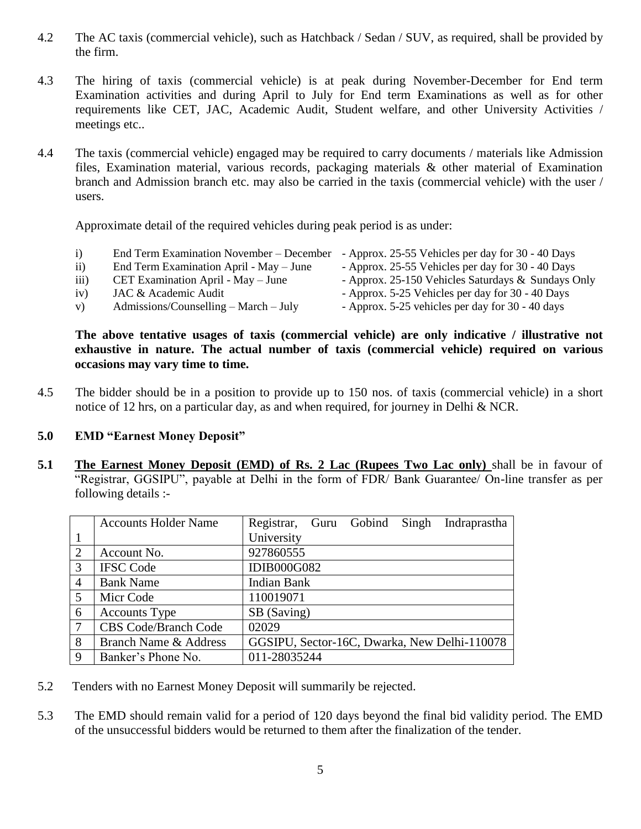- 4.2 The AC taxis (commercial vehicle), such as Hatchback / Sedan / SUV, as required, shall be provided by the firm.
- 4.3 The hiring of taxis (commercial vehicle) is at peak during November-December for End term Examination activities and during April to July for End term Examinations as well as for other requirements like CET, JAC, Academic Audit, Student welfare, and other University Activities / meetings etc..
- 4.4 The taxis (commercial vehicle) engaged may be required to carry documents / materials like Admission files, Examination material, various records, packaging materials & other material of Examination branch and Admission branch etc. may also be carried in the taxis (commercial vehicle) with the user / users.

Approximate detail of the required vehicles during peak period is as under:

- i) End Term Examination November December Approx. 25-55 Vehicles per day for 30 40 Days
- ii) End Term Examination April May June Approx. 25-55 Vehicles per day for 30 40 Days
- iii) CET Examination April May June Approx. 25-150 Vehicles Saturdays & Sundays Only
- iv) JAC & Academic Audit Approx. 5-25 Vehicles per day for 30 40 Days
- v) Admissions/Counselling March July Approx. 5-25 vehicles per day for 30 40 days

**The above tentative usages of taxis (commercial vehicle) are only indicative / illustrative not exhaustive in nature. The actual number of taxis (commercial vehicle) required on various occasions may vary time to time.** 

4.5 The bidder should be in a position to provide up to 150 nos. of taxis (commercial vehicle) in a short notice of 12 hrs, on a particular day, as and when required, for journey in Delhi & NCR.

# **5.0 EMD "Earnest Money Deposit"**

**5.1 The Earnest Money Deposit (EMD) of Rs. 2 Lac (Rupees Two Lac only)** shall be in favour of "Registrar, GGSIPU", payable at Delhi in the form of FDR/ Bank Guarantee/ On-line transfer as per following details :-

|                | <b>Accounts Holder Name</b> | Registrar, Guru Gobind<br>Indraprastha<br>Singh |
|----------------|-----------------------------|-------------------------------------------------|
| 1              |                             | University                                      |
| 2              | Account No.                 | 927860555                                       |
| 3              | <b>IFSC Code</b>            | <b>IDIB000G082</b>                              |
| $\overline{4}$ | <b>Bank Name</b>            | Indian Bank                                     |
| 5              | Micr Code                   | 110019071                                       |
| 6              | <b>Accounts Type</b>        | SB (Saving)                                     |
| $\tau$         | <b>CBS Code/Branch Code</b> | 02029                                           |
| 8              | Branch Name & Address       | GGSIPU, Sector-16C, Dwarka, New Delhi-110078    |
| 9              | Banker's Phone No.          | 011-28035244                                    |

- 5.2 Tenders with no Earnest Money Deposit will summarily be rejected.
- 5.3 The EMD should remain valid for a period of 120 days beyond the final bid validity period. The EMD of the unsuccessful bidders would be returned to them after the finalization of the tender.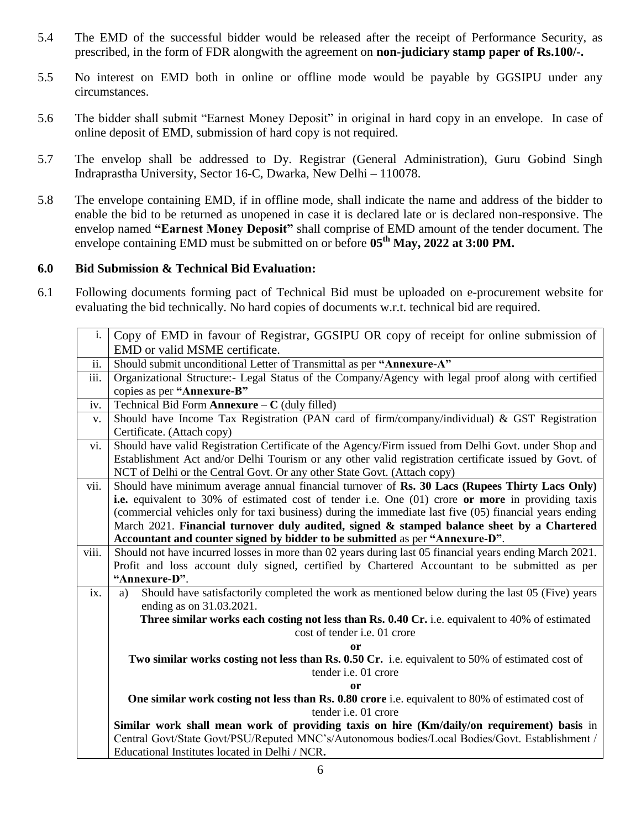- 5.4 The EMD of the successful bidder would be released after the receipt of Performance Security, as prescribed, in the form of FDR alongwith the agreement on **non-judiciary stamp paper of Rs.100/-.**
- 5.5 No interest on EMD both in online or offline mode would be payable by GGSIPU under any circumstances.
- 5.6 The bidder shall submit "Earnest Money Deposit" in original in hard copy in an envelope. In case of online deposit of EMD, submission of hard copy is not required.
- 5.7 The envelop shall be addressed to Dy. Registrar (General Administration), Guru Gobind Singh Indraprastha University, Sector 16-C, Dwarka, New Delhi – 110078.
- 5.8 The envelope containing EMD, if in offline mode, shall indicate the name and address of the bidder to enable the bid to be returned as unopened in case it is declared late or is declared non-responsive. The envelop named **"Earnest Money Deposit"** shall comprise of EMD amount of the tender document. The envelope containing EMD must be submitted on or before **05 th May, 2022 at 3:00 PM.**

# **6.0 Bid Submission & Technical Bid Evaluation:**

6.1 Following documents forming pact of Technical Bid must be uploaded on e-procurement website for evaluating the bid technically. No hard copies of documents w.r.t. technical bid are required.

| i.    | Copy of EMD in favour of Registrar, GGSIPU OR copy of receipt for online submission of                                           |  |  |
|-------|----------------------------------------------------------------------------------------------------------------------------------|--|--|
|       | EMD or valid MSME certificate.                                                                                                   |  |  |
| ii.   | Should submit unconditional Letter of Transmittal as per "Annexure-A"                                                            |  |  |
| iii.  | Organizational Structure:- Legal Status of the Company/Agency with legal proof along with certified                              |  |  |
|       | copies as per "Annexure-B"                                                                                                       |  |  |
| iv.   | Technical Bid Form Annexure $-C$ (duly filled)                                                                                   |  |  |
| V.    | Should have Income Tax Registration (PAN card of firm/company/individual) & GST Registration                                     |  |  |
|       | Certificate. (Attach copy)                                                                                                       |  |  |
| vi.   | Should have valid Registration Certificate of the Agency/Firm issued from Delhi Govt. under Shop and                             |  |  |
|       | Establishment Act and/or Delhi Tourism or any other valid registration certificate issued by Govt. of                            |  |  |
|       | NCT of Delhi or the Central Govt. Or any other State Govt. (Attach copy)                                                         |  |  |
| vii.  | Should have minimum average annual financial turnover of Rs. 30 Lacs (Rupees Thirty Lacs Only)                                   |  |  |
|       | i.e. equivalent to 30% of estimated cost of tender i.e. One (01) crore or more in providing taxis                                |  |  |
|       | (commercial vehicles only for taxi business) during the immediate last five (05) financial years ending                          |  |  |
|       | March 2021. Financial turnover duly audited, signed & stamped balance sheet by a Chartered                                       |  |  |
|       | Accountant and counter signed by bidder to be submitted as per "Annexure-D".                                                     |  |  |
| viii. | Should not have incurred losses in more than 02 years during last 05 financial years ending March 2021.                          |  |  |
|       | Profit and loss account duly signed, certified by Chartered Accountant to be submitted as per                                    |  |  |
|       | "Annexure-D".                                                                                                                    |  |  |
| ix.   | Should have satisfactorily completed the work as mentioned below during the last 05 (Five) years<br>a)                           |  |  |
|       | ending as on 31.03.2021.                                                                                                         |  |  |
|       | Three similar works each costing not less than Rs. 0.40 Cr. i.e. equivalent to 40% of estimated                                  |  |  |
|       | cost of tender i.e. 01 crore                                                                                                     |  |  |
|       | or                                                                                                                               |  |  |
|       | Two similar works costing not less than Rs. 0.50 Cr. i.e. equivalent to 50% of estimated cost of                                 |  |  |
|       | tender i.e. 01 crore                                                                                                             |  |  |
|       | or                                                                                                                               |  |  |
|       | One similar work costing not less than Rs. 0.80 crore i.e. equivalent to 80% of estimated cost of<br>tender <i>i.e.</i> 01 crore |  |  |
|       | Similar work shall mean work of providing taxis on hire (Km/daily/on requirement) basis in                                       |  |  |
|       | Central Govt/State Govt/PSU/Reputed MNC's/Autonomous bodies/Local Bodies/Govt. Establishment /                                   |  |  |
|       | Educational Institutes located in Delhi / NCR.                                                                                   |  |  |
|       |                                                                                                                                  |  |  |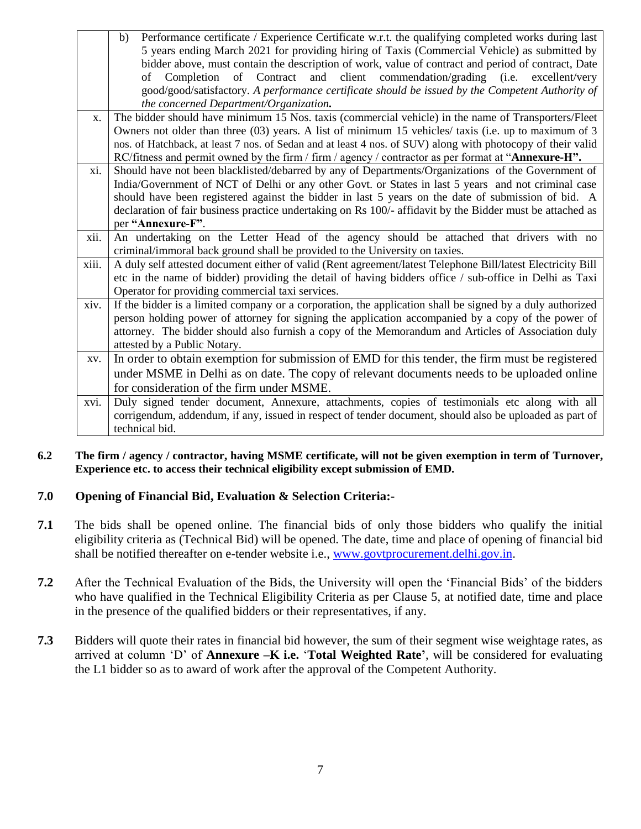|       | Performance certificate / Experience Certificate w.r.t. the qualifying completed works during last<br>b)    |
|-------|-------------------------------------------------------------------------------------------------------------|
|       | 5 years ending March 2021 for providing hiring of Taxis (Commercial Vehicle) as submitted by                |
|       | bidder above, must contain the description of work, value of contract and period of contract, Date          |
|       | Completion of Contract and client commendation/grading (i.e. excellent/very<br>of                           |
|       | good/good/satisfactory. A performance certificate should be issued by the Competent Authority of            |
|       | the concerned Department/Organization.                                                                      |
| X.    | The bidder should have minimum 15 Nos. taxis (commercial vehicle) in the name of Transporters/Fleet         |
|       | Owners not older than three (03) years. A list of minimum 15 vehicles/ taxis (i.e. up to maximum of 3       |
|       | nos. of Hatchback, at least 7 nos. of Sedan and at least 4 nos. of SUV) along with photocopy of their valid |
|       | RC/fitness and permit owned by the firm / firm / agency / contractor as per format at "Annexure-H".         |
| xi.   | Should have not been blacklisted/debarred by any of Departments/Organizations of the Government of          |
|       | India/Government of NCT of Delhi or any other Govt. or States in last 5 years and not criminal case         |
|       | should have been registered against the bidder in last 5 years on the date of submission of bid. A          |
|       | declaration of fair business practice undertaking on Rs 100/- affidavit by the Bidder must be attached as   |
|       | per "Annexure-F".                                                                                           |
|       |                                                                                                             |
| xii.  | An undertaking on the Letter Head of the agency should be attached that drivers with no                     |
|       | criminal/immoral back ground shall be provided to the University on taxies.                                 |
| xiii. | A duly self attested document either of valid (Rent agreement/latest Telephone Bill/latest Electricity Bill |
|       | etc in the name of bidder) providing the detail of having bidders office / sub-office in Delhi as Taxi      |
|       | Operator for providing commercial taxi services.                                                            |
| xiv.  | If the bidder is a limited company or a corporation, the application shall be signed by a duly authorized   |
|       | person holding power of attorney for signing the application accompanied by a copy of the power of          |
|       | attorney. The bidder should also furnish a copy of the Memorandum and Articles of Association duly          |
|       | attested by a Public Notary.                                                                                |
| XV.   | In order to obtain exemption for submission of EMD for this tender, the firm must be registered             |
|       | under MSME in Delhi as on date. The copy of relevant documents needs to be uploaded online                  |
|       | for consideration of the firm under MSME.                                                                   |
| xvi.  | Duly signed tender document, Annexure, attachments, copies of testimonials etc along with all               |
|       | corrigendum, addendum, if any, issued in respect of tender document, should also be uploaded as part of     |

**6.2 The firm / agency / contractor, having MSME certificate, will not be given exemption in term of Turnover, Experience etc. to access their technical eligibility except submission of EMD.**

# **7.0 Opening of Financial Bid, Evaluation & Selection Criteria:-**

- **7.1** The bids shall be opened online. The financial bids of only those bidders who qualify the initial eligibility criteria as (Technical Bid) will be opened. The date, time and place of opening of financial bid shall be notified thereafter on e-tender website i.e., [www.govtprocurement.delhi.gov.in.](http://www.govtprocurement.delhi.gov.in/)
- **7.2** After the Technical Evaluation of the Bids, the University will open the 'Financial Bids' of the bidders who have qualified in the Technical Eligibility Criteria as per Clause 5, at notified date, time and place in the presence of the qualified bidders or their representatives, if any.
- **7.3** Bidders will quote their rates in financial bid however, the sum of their segment wise weightage rates, as arrived at column ‗D' of **Annexure –K i.e.** ‗**Total Weighted Rate'**, will be considered for evaluating the L1 bidder so as to award of work after the approval of the Competent Authority.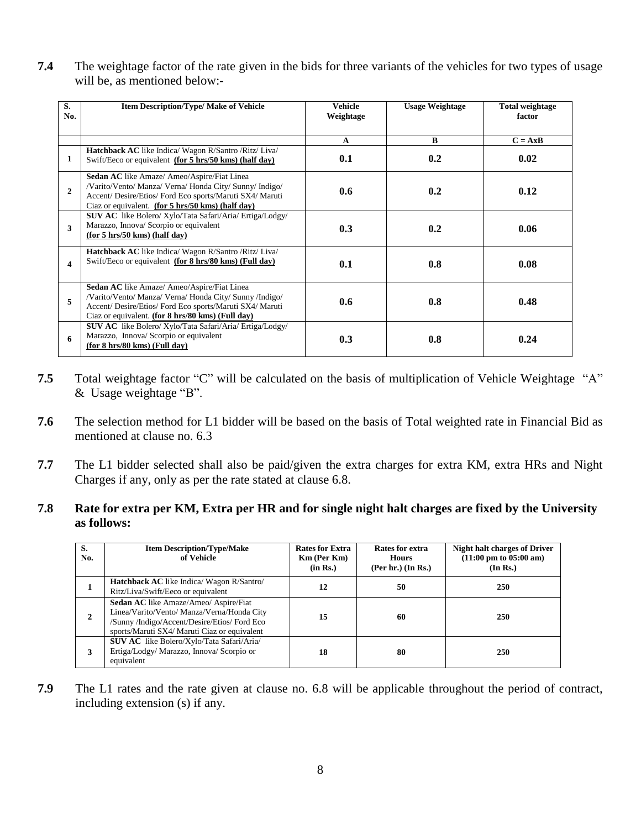**7.4** The weightage factor of the rate given in the bids for three variants of the vehicles for two types of usage will be, as mentioned below:-

| S.<br>No.    | <b>Item Description/Type/ Make of Vehicle</b>                                                                                                                                                                                  | <b>Vehicle</b><br>Weightage | <b>Usage Weightage</b> | <b>Total weightage</b><br>factor |
|--------------|--------------------------------------------------------------------------------------------------------------------------------------------------------------------------------------------------------------------------------|-----------------------------|------------------------|----------------------------------|
|              |                                                                                                                                                                                                                                | $\mathbf{A}$                | B                      | $C = AxB$                        |
| 1            | Hatchback AC like Indica/ Wagon R/Santro / Ritz/ Liva/<br>Swift/Eeco or equivalent (for 5 hrs/50 kms) (half day)                                                                                                               | 0.1                         | 0.2                    | 0.02                             |
| $\mathbf{2}$ | <b>Sedan AC</b> like Amaze/ Ameo/Aspire/Fiat Linea<br>/Varito/Vento/ Manza/ Verna/ Honda City/ Sunny/ Indigo/<br>Accent/ Desire/Etios/ Ford Eco sports/Maruti SX4/ Maruti<br>Ciaz or equivalent. (for 5 hrs/50 kms) (half day) | 0.6                         | 0.2                    | 0.12                             |
| 3            | <b>SUV AC</b> like Bolero/Xylo/Tata Safari/Aria/Ertiga/Lodgy/<br>Marazzo, Innova/ Scorpio or equivalent<br>(for 5 hrs/50 kms) (half day)                                                                                       | 0.3                         | 0.2                    | 0.06                             |
| 4            | Hatchback AC like Indica/ Wagon R/Santro / Ritz/ Liva/<br>Swift/Eeco or equivalent (for 8 hrs/80 kms) (Full day)                                                                                                               | 0.1                         | 0.8                    | 0.08                             |
| 5            | <b>Sedan AC</b> like Amaze/ Ameo/Aspire/Fiat Linea<br>/Varito/Vento/ Manza/ Verna/ Honda City/ Sunny /Indigo/<br>Accent/ Desire/Etios/ Ford Eco sports/Maruti SX4/ Maruti<br>Ciaz or equivalent. (for 8 hrs/80 kms) (Full day) | 0.6                         | 0.8                    | 0.48                             |
| 6            | <b>SUV AC</b> like Bolero/Xylo/Tata Safari/Aria/Ertiga/Lodgy/<br>Marazzo, Innova/ Scorpio or equivalent<br>(for 8 hrs/80 kms) (Full day)                                                                                       | 0.3                         | 0.8                    | 0.24                             |

- **7.5** Total weightage factor "C" will be calculated on the basis of multiplication of Vehicle Weightage "A" & Usage weightage "B".
- **7.6** The selection method for L1 bidder will be based on the basis of Total weighted rate in Financial Bid as mentioned at clause no. 6.3
- **7.7** The L1 bidder selected shall also be paid/given the extra charges for extra KM, extra HRs and Night Charges if any, only as per the rate stated at clause 6.8.

# **7.8 Rate for extra per KM, Extra per HR and for single night halt charges are fixed by the University as follows:**

| S.<br>No. | <b>Item Description/Type/Make</b><br>of Vehicle                                                                                                                                     | <b>Rates for Extra</b><br><b>Km</b> (Per Km)<br>(in Rs.) | Rates for extra<br><b>Hours</b><br>$(Per hr.)$ (In Rs.) | <b>Night halt charges of Driver</b><br>$(11:00 \text{ pm to } 05:00 \text{ am})$<br>(In Rs.) |
|-----------|-------------------------------------------------------------------------------------------------------------------------------------------------------------------------------------|----------------------------------------------------------|---------------------------------------------------------|----------------------------------------------------------------------------------------------|
|           | <b>Hatchback AC</b> like Indica/ Wagon R/Santro/<br>Ritz/Liva/Swift/Eeco or equivalent                                                                                              | 12                                                       | 50                                                      | 250                                                                                          |
|           | Sedan AC like Amaze/Ameo/ Aspire/Fiat<br>Linea/Varito/Vento/ Manza/Verna/Honda City<br>/Sunny /Indigo/Accent/Desire/Etios/ Ford Eco<br>sports/Maruti SX4/ Maruti Ciaz or equivalent | 15                                                       | 60                                                      | 250                                                                                          |
| 3         | <b>SUV AC</b> like Bolero/Xylo/Tata Safari/Aria/<br>Ertiga/Lodgy/ Marazzo, Innova/ Scorpio or<br>equivalent                                                                         | 18                                                       | 80                                                      | 250                                                                                          |

**7.9** The L1 rates and the rate given at clause no. 6.8 will be applicable throughout the period of contract, including extension (s) if any.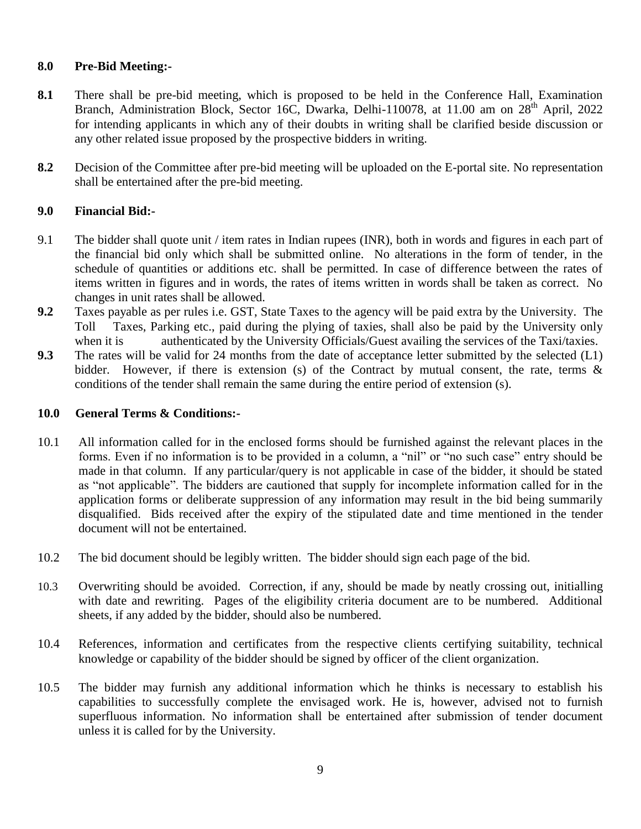# **8.0 Pre-Bid Meeting:-**

- **8.1** There shall be pre-bid meeting, which is proposed to be held in the Conference Hall, Examination Branch, Administration Block, Sector 16C, Dwarka, Delhi-110078, at 11.00 am on 28<sup>th</sup> April, 2022 for intending applicants in which any of their doubts in writing shall be clarified beside discussion or any other related issue proposed by the prospective bidders in writing.
- **8.2** Decision of the Committee after pre-bid meeting will be uploaded on the E-portal site. No representation shall be entertained after the pre-bid meeting.

# **9.0 Financial Bid:-**

- 9.1 The bidder shall quote unit / item rates in Indian rupees (INR), both in words and figures in each part of the financial bid only which shall be submitted online. No alterations in the form of tender, in the schedule of quantities or additions etc. shall be permitted. In case of difference between the rates of items written in figures and in words, the rates of items written in words shall be taken as correct. No changes in unit rates shall be allowed.
- **9.2** Taxes payable as per rules i.e. GST, State Taxes to the agency will be paid extra by the University. The Toll Taxes, Parking etc., paid during the plying of taxies, shall also be paid by the University only when it is authenticated by the University Officials/Guest availing the services of the Taxi/taxies.
- **9.3** The rates will be valid for 24 months from the date of acceptance letter submitted by the selected (L1) bidder. However, if there is extension (s) of the Contract by mutual consent, the rate, terms & conditions of the tender shall remain the same during the entire period of extension (s).

#### **10.0 General Terms & Conditions:-**

- 10.1 All information called for in the enclosed forms should be furnished against the relevant places in the forms. Even if no information is to be provided in a column, a "nil" or "no such case" entry should be made in that column. If any particular/query is not applicable in case of the bidder, it should be stated as "not applicable". The bidders are cautioned that supply for incomplete information called for in the application forms or deliberate suppression of any information may result in the bid being summarily disqualified. Bids received after the expiry of the stipulated date and time mentioned in the tender document will not be entertained.
- 10.2 The bid document should be legibly written. The bidder should sign each page of the bid.
- 10.3 Overwriting should be avoided. Correction, if any, should be made by neatly crossing out, initialling with date and rewriting. Pages of the eligibility criteria document are to be numbered. Additional sheets, if any added by the bidder, should also be numbered.
- 10.4 References, information and certificates from the respective clients certifying suitability, technical knowledge or capability of the bidder should be signed by officer of the client organization.
- 10.5 The bidder may furnish any additional information which he thinks is necessary to establish his capabilities to successfully complete the envisaged work. He is, however, advised not to furnish superfluous information. No information shall be entertained after submission of tender document unless it is called for by the University.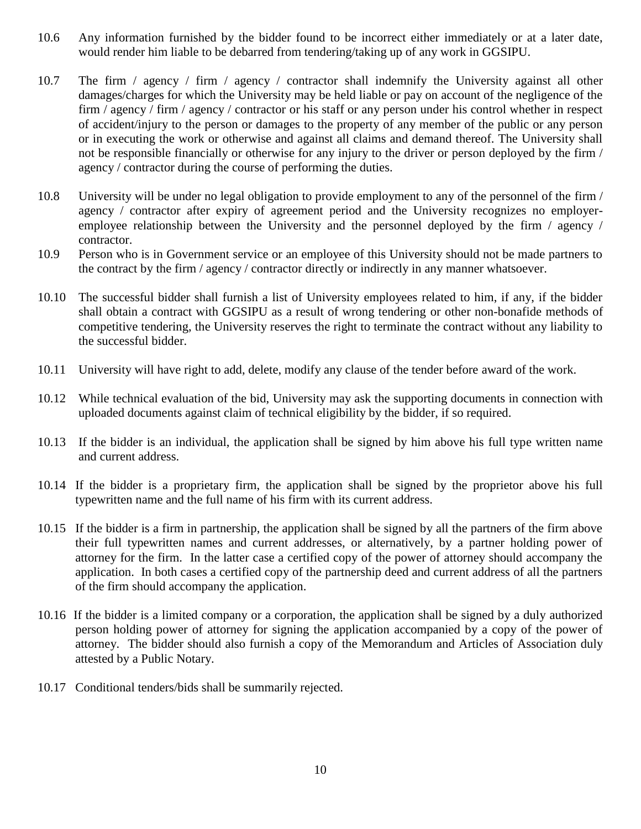- 10.6 Any information furnished by the bidder found to be incorrect either immediately or at a later date, would render him liable to be debarred from tendering/taking up of any work in GGSIPU.
- 10.7 The firm / agency / firm / agency / contractor shall indemnify the University against all other damages/charges for which the University may be held liable or pay on account of the negligence of the firm / agency / firm / agency / contractor or his staff or any person under his control whether in respect of accident/injury to the person or damages to the property of any member of the public or any person or in executing the work or otherwise and against all claims and demand thereof. The University shall not be responsible financially or otherwise for any injury to the driver or person deployed by the firm / agency / contractor during the course of performing the duties.
- 10.8 University will be under no legal obligation to provide employment to any of the personnel of the firm / agency / contractor after expiry of agreement period and the University recognizes no employeremployee relationship between the University and the personnel deployed by the firm / agency / contractor.
- 10.9 Person who is in Government service or an employee of this University should not be made partners to the contract by the firm / agency / contractor directly or indirectly in any manner whatsoever.
- 10.10 The successful bidder shall furnish a list of University employees related to him, if any, if the bidder shall obtain a contract with GGSIPU as a result of wrong tendering or other non-bonafide methods of competitive tendering, the University reserves the right to terminate the contract without any liability to the successful bidder.
- 10.11 University will have right to add, delete, modify any clause of the tender before award of the work.
- 10.12 While technical evaluation of the bid, University may ask the supporting documents in connection with uploaded documents against claim of technical eligibility by the bidder, if so required.
- 10.13 If the bidder is an individual, the application shall be signed by him above his full type written name and current address.
- 10.14 If the bidder is a proprietary firm, the application shall be signed by the proprietor above his full typewritten name and the full name of his firm with its current address.
- 10.15 If the bidder is a firm in partnership, the application shall be signed by all the partners of the firm above their full typewritten names and current addresses, or alternatively, by a partner holding power of attorney for the firm. In the latter case a certified copy of the power of attorney should accompany the application. In both cases a certified copy of the partnership deed and current address of all the partners of the firm should accompany the application.
- 10.16 If the bidder is a limited company or a corporation, the application shall be signed by a duly authorized person holding power of attorney for signing the application accompanied by a copy of the power of attorney. The bidder should also furnish a copy of the Memorandum and Articles of Association duly attested by a Public Notary.
- 10.17 Conditional tenders/bids shall be summarily rejected.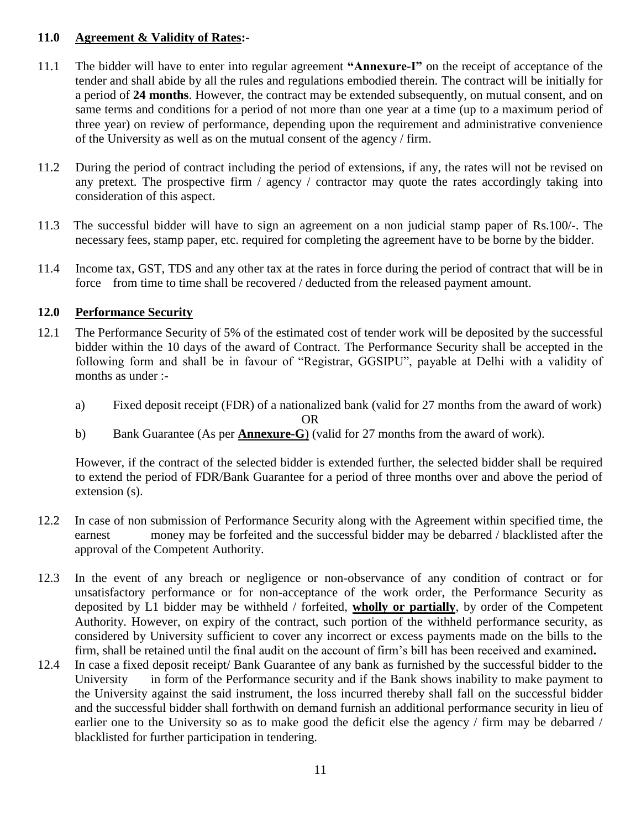# **11.0 Agreement & Validity of Rates:-**

- 11.1 The bidder will have to enter into regular agreement **"Annexure-I"** on the receipt of acceptance of the tender and shall abide by all the rules and regulations embodied therein. The contract will be initially for a period of **24 months**. However, the contract may be extended subsequently, on mutual consent, and on same terms and conditions for a period of not more than one year at a time (up to a maximum period of three year) on review of performance, depending upon the requirement and administrative convenience of the University as well as on the mutual consent of the agency / firm.
- 11.2 During the period of contract including the period of extensions, if any, the rates will not be revised on any pretext. The prospective firm / agency / contractor may quote the rates accordingly taking into consideration of this aspect.
- 11.3 The successful bidder will have to sign an agreement on a non judicial stamp paper of Rs.100/-. The necessary fees, stamp paper, etc. required for completing the agreement have to be borne by the bidder.
- 11.4 Income tax, GST, TDS and any other tax at the rates in force during the period of contract that will be in force from time to time shall be recovered / deducted from the released payment amount.

# **12.0 Performance Security**

- 12.1 The Performance Security of 5% of the estimated cost of tender work will be deposited by the successful bidder within the 10 days of the award of Contract. The Performance Security shall be accepted in the following form and shall be in favour of "Registrar, GGSIPU", payable at Delhi with a validity of months as under :
	- a) Fixed deposit receipt (FDR) of a nationalized bank (valid for 27 months from the award of work) OR
	- b) Bank Guarantee (As per **Annexure-G**) (valid for 27 months from the award of work).

However, if the contract of the selected bidder is extended further, the selected bidder shall be required to extend the period of FDR/Bank Guarantee for a period of three months over and above the period of extension (s).

- 12.2 In case of non submission of Performance Security along with the Agreement within specified time, the earnest money may be forfeited and the successful bidder may be debarred / blacklisted after the approval of the Competent Authority.
- 12.3 In the event of any breach or negligence or non-observance of any condition of contract or for unsatisfactory performance or for non-acceptance of the work order, the Performance Security as deposited by L1 bidder may be withheld / forfeited, **wholly or partially**, by order of the Competent Authority. However, on expiry of the contract, such portion of the withheld performance security, as considered by University sufficient to cover any incorrect or excess payments made on the bills to the firm, shall be retained until the final audit on the account of firm's bill has been received and examined**.**
- 12.4 In case a fixed deposit receipt/ Bank Guarantee of any bank as furnished by the successful bidder to the University in form of the Performance security and if the Bank shows inability to make payment to the University against the said instrument, the loss incurred thereby shall fall on the successful bidder and the successful bidder shall forthwith on demand furnish an additional performance security in lieu of earlier one to the University so as to make good the deficit else the agency / firm may be debarred / blacklisted for further participation in tendering.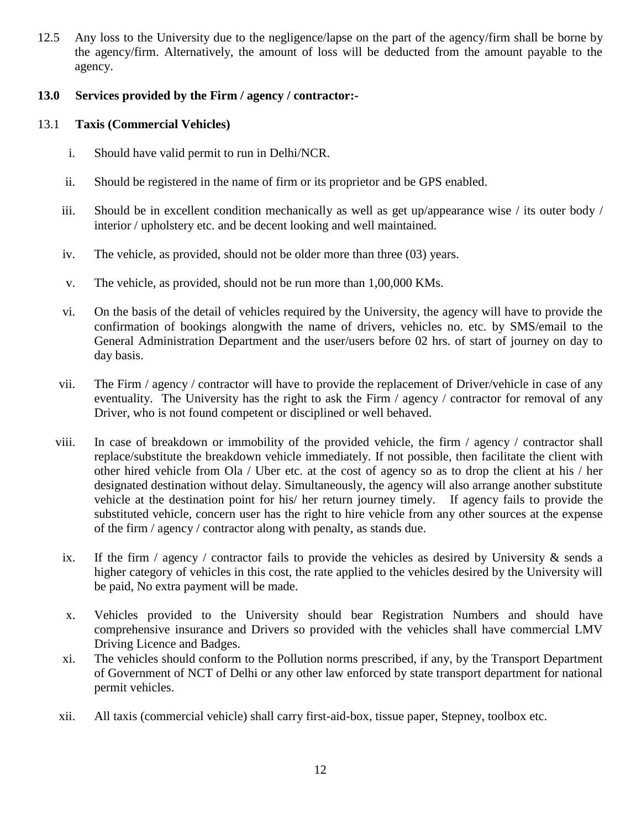12.5 Any loss to the University due to the negligence/lapse on the part of the agency/firm shall be borne by the agency/firm. Alternatively, the amount of loss will be deducted from the amount payable to the agency.

# **13.0 Services provided by the Firm / agency / contractor:-**

# 13.1 **Taxis (Commercial Vehicles)**

- i. Should have valid permit to run in Delhi/NCR.
- ii. Should be registered in the name of firm or its proprietor and be GPS enabled.
- iii. Should be in excellent condition mechanically as well as get up/appearance wise / its outer body / interior / upholstery etc. and be decent looking and well maintained.
- iv. The vehicle, as provided, should not be older more than three (03) years.
- v. The vehicle, as provided, should not be run more than 1,00,000 KMs.
- vi. On the basis of the detail of vehicles required by the University, the agency will have to provide the confirmation of bookings alongwith the name of drivers, vehicles no. etc. by SMS/email to the General Administration Department and the user/users before 02 hrs. of start of journey on day to day basis.
- vii. The Firm / agency / contractor will have to provide the replacement of Driver/vehicle in case of any eventuality. The University has the right to ask the Firm / agency / contractor for removal of any Driver, who is not found competent or disciplined or well behaved.
- viii. In case of breakdown or immobility of the provided vehicle, the firm / agency / contractor shall replace/substitute the breakdown vehicle immediately. If not possible, then facilitate the client with other hired vehicle from Ola / Uber etc. at the cost of agency so as to drop the client at his / her designated destination without delay. Simultaneously, the agency will also arrange another substitute vehicle at the destination point for his/ her return journey timely. If agency fails to provide the substituted vehicle, concern user has the right to hire vehicle from any other sources at the expense of the firm / agency / contractor along with penalty, as stands due.
- ix. If the firm / agency / contractor fails to provide the vehicles as desired by University  $\&$  sends a higher category of vehicles in this cost, the rate applied to the vehicles desired by the University will be paid, No extra payment will be made.
- x. Vehicles provided to the University should bear Registration Numbers and should have comprehensive insurance and Drivers so provided with the vehicles shall have commercial LMV Driving Licence and Badges.
- xi. The vehicles should conform to the Pollution norms prescribed, if any, by the Transport Department of Government of NCT of Delhi or any other law enforced by state transport department for national permit vehicles.
- xii. All taxis (commercial vehicle) shall carry first-aid-box, tissue paper, Stepney, toolbox etc.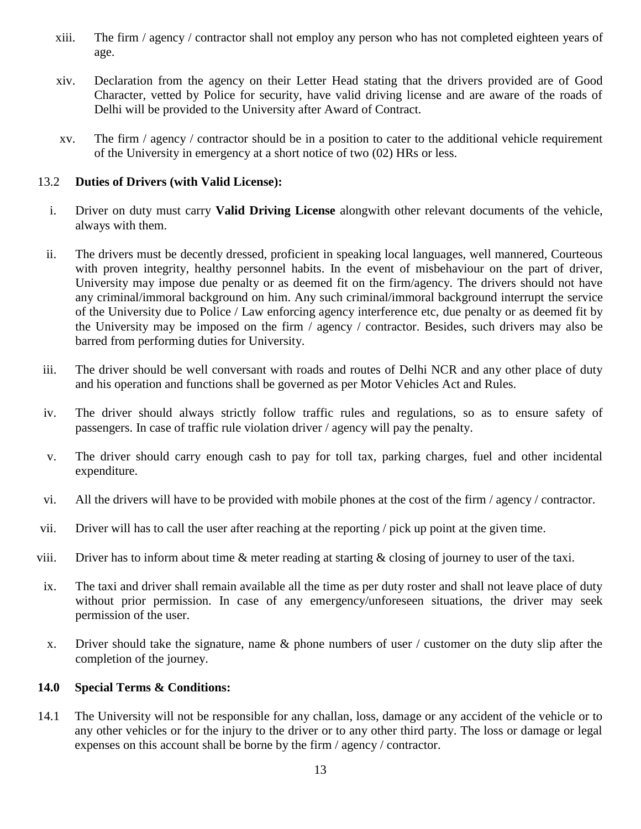- xiii. The firm / agency / contractor shall not employ any person who has not completed eighteen years of age.
- xiv. Declaration from the agency on their Letter Head stating that the drivers provided are of Good Character, vetted by Police for security, have valid driving license and are aware of the roads of Delhi will be provided to the University after Award of Contract.
- xv. The firm / agency / contractor should be in a position to cater to the additional vehicle requirement of the University in emergency at a short notice of two (02) HRs or less.

# 13.2 **Duties of Drivers (with Valid License):**

- i. Driver on duty must carry **Valid Driving License** alongwith other relevant documents of the vehicle, always with them.
- ii. The drivers must be decently dressed, proficient in speaking local languages, well mannered, Courteous with proven integrity, healthy personnel habits. In the event of misbehaviour on the part of driver, University may impose due penalty or as deemed fit on the firm/agency. The drivers should not have any criminal/immoral background on him. Any such criminal/immoral background interrupt the service of the University due to Police / Law enforcing agency interference etc, due penalty or as deemed fit by the University may be imposed on the firm / agency / contractor. Besides, such drivers may also be barred from performing duties for University.
- iii. The driver should be well conversant with roads and routes of Delhi NCR and any other place of duty and his operation and functions shall be governed as per Motor Vehicles Act and Rules.
- iv. The driver should always strictly follow traffic rules and regulations, so as to ensure safety of passengers. In case of traffic rule violation driver / agency will pay the penalty.
- v. The driver should carry enough cash to pay for toll tax, parking charges, fuel and other incidental expenditure.
- vi. All the drivers will have to be provided with mobile phones at the cost of the firm / agency / contractor.
- vii. Driver will has to call the user after reaching at the reporting / pick up point at the given time.
- viii. Driver has to inform about time  $\&$  meter reading at starting  $\&$  closing of journey to user of the taxi.
- ix. The taxi and driver shall remain available all the time as per duty roster and shall not leave place of duty without prior permission. In case of any emergency/unforeseen situations, the driver may seek permission of the user.
- x. Driver should take the signature, name & phone numbers of user / customer on the duty slip after the completion of the journey.

### **14.0 Special Terms & Conditions:**

14.1 The University will not be responsible for any challan, loss, damage or any accident of the vehicle or to any other vehicles or for the injury to the driver or to any other third party. The loss or damage or legal expenses on this account shall be borne by the firm / agency / contractor.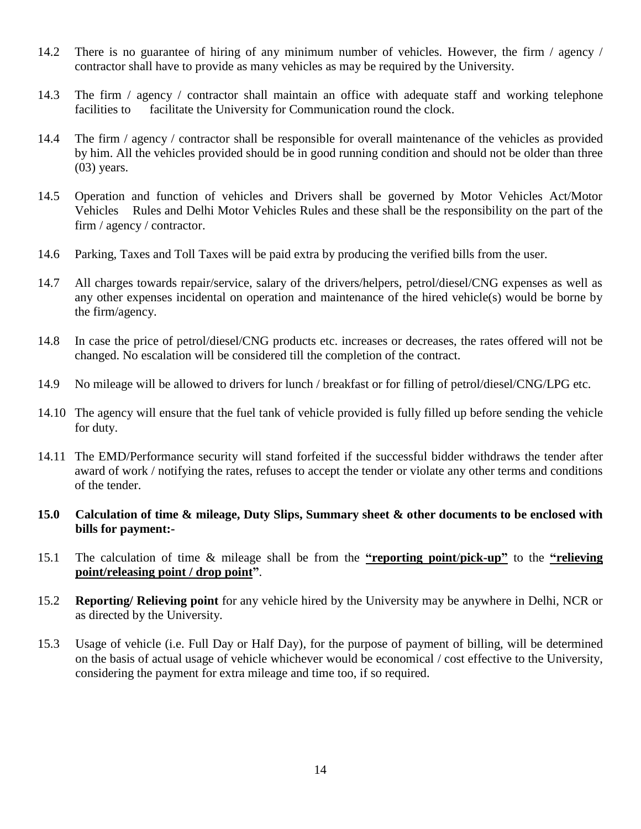- 14.2 There is no guarantee of hiring of any minimum number of vehicles. However, the firm / agency / contractor shall have to provide as many vehicles as may be required by the University.
- 14.3 The firm / agency / contractor shall maintain an office with adequate staff and working telephone facilities to facilitate the University for Communication round the clock.
- 14.4 The firm / agency / contractor shall be responsible for overall maintenance of the vehicles as provided by him. All the vehicles provided should be in good running condition and should not be older than three (03) years.
- 14.5 Operation and function of vehicles and Drivers shall be governed by Motor Vehicles Act/Motor Vehicles Rules and Delhi Motor Vehicles Rules and these shall be the responsibility on the part of the firm / agency / contractor.
- 14.6 Parking, Taxes and Toll Taxes will be paid extra by producing the verified bills from the user.
- 14.7 All charges towards repair/service, salary of the drivers/helpers, petrol/diesel/CNG expenses as well as any other expenses incidental on operation and maintenance of the hired vehicle(s) would be borne by the firm/agency.
- 14.8 In case the price of petrol/diesel/CNG products etc. increases or decreases, the rates offered will not be changed. No escalation will be considered till the completion of the contract.
- 14.9 No mileage will be allowed to drivers for lunch / breakfast or for filling of petrol/diesel/CNG/LPG etc.
- 14.10 The agency will ensure that the fuel tank of vehicle provided is fully filled up before sending the vehicle for duty.
- 14.11 The EMD/Performance security will stand forfeited if the successful bidder withdraws the tender after award of work / notifying the rates, refuses to accept the tender or violate any other terms and conditions of the tender.
- **15.0 Calculation of time & mileage, Duty Slips, Summary sheet & other documents to be enclosed with bills for payment:-**
- 15.1 The calculation of time & mileage shall be from the **"reporting point**/**pick-up"** to the **"relieving point/releasing point / drop point"**.
- 15.2 **Reporting/ Relieving point** for any vehicle hired by the University may be anywhere in Delhi, NCR or as directed by the University.
- 15.3 Usage of vehicle (i.e. Full Day or Half Day), for the purpose of payment of billing, will be determined on the basis of actual usage of vehicle whichever would be economical / cost effective to the University, considering the payment for extra mileage and time too, if so required.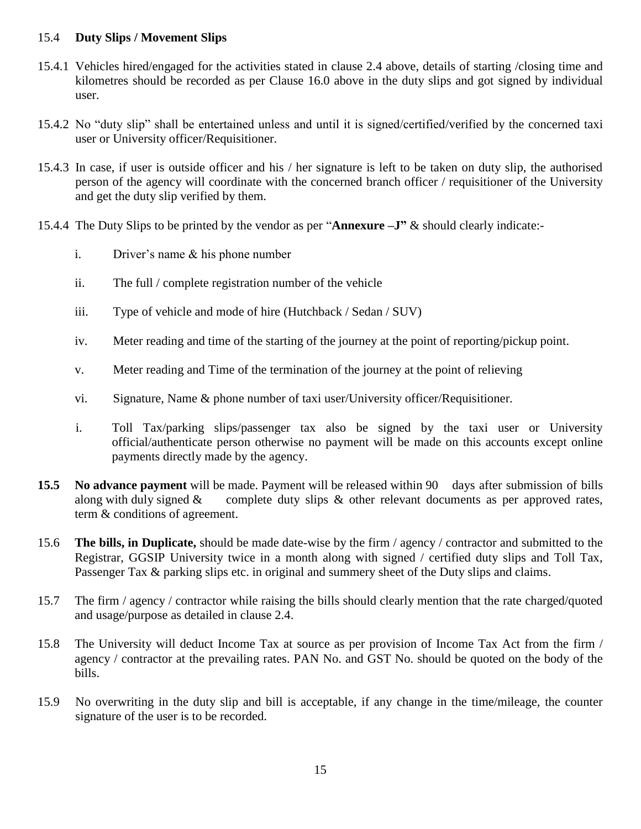# 15.4 **Duty Slips / Movement Slips**

- 15.4.1 Vehicles hired/engaged for the activities stated in clause 2.4 above, details of starting /closing time and kilometres should be recorded as per Clause 16.0 above in the duty slips and got signed by individual user.
- 15.4.2 No "duty slip" shall be entertained unless and until it is signed/certified/verified by the concerned taxi user or University officer/Requisitioner.
- 15.4.3 In case, if user is outside officer and his / her signature is left to be taken on duty slip, the authorised person of the agency will coordinate with the concerned branch officer / requisitioner of the University and get the duty slip verified by them.
- 15.4.4 The Duty Slips to be printed by the vendor as per "**Annexure** –**J**" & should clearly indicate:
	- i. Driver's name & his phone number
	- ii. The full / complete registration number of the vehicle
	- iii. Type of vehicle and mode of hire (Hutchback / Sedan / SUV)
	- iv. Meter reading and time of the starting of the journey at the point of reporting/pickup point.
	- v. Meter reading and Time of the termination of the journey at the point of relieving
	- vi. Signature, Name & phone number of taxi user/University officer/Requisitioner.
	- i. Toll Tax/parking slips/passenger tax also be signed by the taxi user or University official/authenticate person otherwise no payment will be made on this accounts except online payments directly made by the agency.
- **15.5 No advance payment** will be made. Payment will be released within 90 days after submission of bills along with duly signed  $\&$  complete duty slips  $\&$  other relevant documents as per approved rates, term & conditions of agreement.
- 15.6 **The bills, in Duplicate,** should be made date-wise by the firm / agency / contractor and submitted to the Registrar, GGSIP University twice in a month along with signed / certified duty slips and Toll Tax, Passenger Tax & parking slips etc. in original and summery sheet of the Duty slips and claims.
- 15.7 The firm / agency / contractor while raising the bills should clearly mention that the rate charged/quoted and usage/purpose as detailed in clause 2.4.
- 15.8 The University will deduct Income Tax at source as per provision of Income Tax Act from the firm / agency / contractor at the prevailing rates. PAN No. and GST No. should be quoted on the body of the bills.
- 15.9 No overwriting in the duty slip and bill is acceptable, if any change in the time/mileage, the counter signature of the user is to be recorded.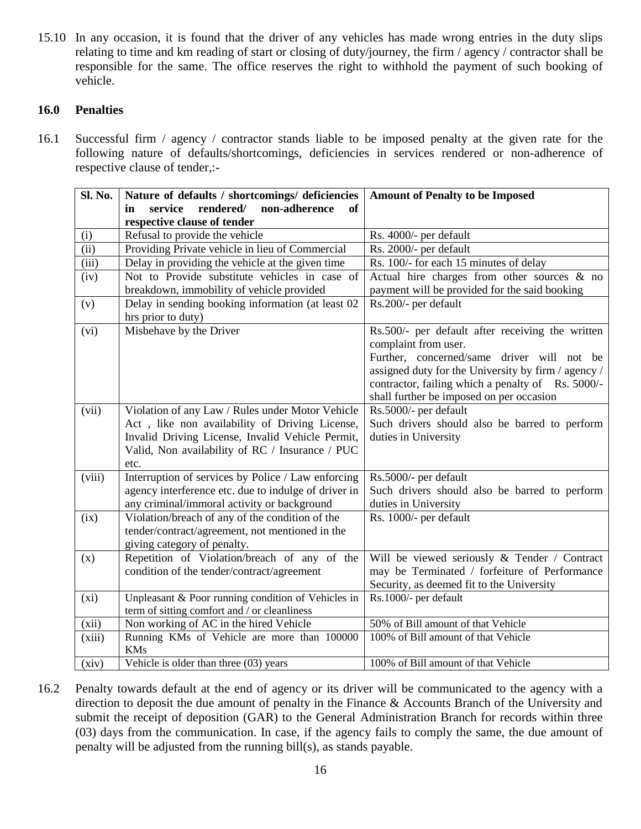15.10 In any occasion, it is found that the driver of any vehicles has made wrong entries in the duty slips relating to time and km reading of start or closing of duty/journey, the firm / agency / contractor shall be responsible for the same. The office reserves the right to withhold the payment of such booking of vehicle.

# **16.0 Penalties**

16.1 Successful firm / agency / contractor stands liable to be imposed penalty at the given rate for the following nature of defaults/shortcomings, deficiencies in services rendered or non-adherence of respective clause of tender,:-

| Sl. No.                    | Nature of defaults / shortcomings/ deficiencies      | <b>Amount of Penalty to be Imposed</b>              |  |  |
|----------------------------|------------------------------------------------------|-----------------------------------------------------|--|--|
|                            | rendered/<br>non-adherence<br>service<br>of<br>in    |                                                     |  |  |
|                            | respective clause of tender                          |                                                     |  |  |
| (i)                        | Refusal to provide the vehicle                       | Rs. 4000/- per default                              |  |  |
| $\overline{(\mathrm{ii})}$ | Providing Private vehicle in lieu of Commercial      | Rs. 2000/- per default                              |  |  |
| (iii)                      | Delay in providing the vehicle at the given time     | Rs. 100/- for each 15 minutes of delay              |  |  |
| (iv)                       | Not to Provide substitute vehicles in case of        | Actual hire charges from other sources & no         |  |  |
|                            | breakdown, immobility of vehicle provided            | payment will be provided for the said booking       |  |  |
| (v)                        | Delay in sending booking information (at least 02    | Rs.200/- per default                                |  |  |
|                            | hrs prior to duty)                                   |                                                     |  |  |
| (vi)                       | Misbehave by the Driver                              | Rs.500/- per default after receiving the written    |  |  |
|                            |                                                      | complaint from user.                                |  |  |
|                            |                                                      | Further, concerned/same driver will not be          |  |  |
|                            |                                                      | assigned duty for the University by firm / agency / |  |  |
|                            |                                                      | contractor, failing which a penalty of Rs. 5000/-   |  |  |
|                            |                                                      | shall further be imposed on per occasion            |  |  |
| (vii)                      | Violation of any Law / Rules under Motor Vehicle     | Rs.5000/- per default                               |  |  |
|                            | Act, like non availability of Driving License,       | Such drivers should also be barred to perform       |  |  |
|                            | Invalid Driving License, Invalid Vehicle Permit,     | duties in University                                |  |  |
|                            | Valid, Non availability of RC / Insurance / PUC      |                                                     |  |  |
|                            | etc.                                                 |                                                     |  |  |
| (viii)                     | Interruption of services by Police / Law enforcing   | Rs.5000/- per default                               |  |  |
|                            | agency interference etc. due to indulge of driver in | Such drivers should also be barred to perform       |  |  |
|                            | any criminal/immoral activity or background          | duties in University                                |  |  |
| (ix)                       | Violation/breach of any of the condition of the      | Rs. 1000/- per default                              |  |  |
|                            | tender/contract/agreement, not mentioned in the      |                                                     |  |  |
|                            | giving category of penalty.                          |                                                     |  |  |
| (x)                        | Repetition of Violation/breach of any of the         | Will be viewed seriously & Tender / Contract        |  |  |
|                            | condition of the tender/contract/agreement           | may be Terminated / forfeiture of Performance       |  |  |
|                            |                                                      | Security, as deemed fit to the University           |  |  |
| (xi)                       | Unpleasant & Poor running condition of Vehicles in   | Rs.1000/- per default                               |  |  |
|                            | term of sitting comfort and / or cleanliness         |                                                     |  |  |
| (xii)                      | Non working of AC in the hired Vehicle               | 50% of Bill amount of that Vehicle                  |  |  |
| (xiii)                     | Running KMs of Vehicle are more than 100000          | 100% of Bill amount of that Vehicle                 |  |  |
|                            | <b>KMs</b>                                           |                                                     |  |  |
| (xiv)                      | Vehicle is older than three (03) years               | 100% of Bill amount of that Vehicle                 |  |  |

16.2 Penalty towards default at the end of agency or its driver will be communicated to the agency with a direction to deposit the due amount of penalty in the Finance & Accounts Branch of the University and submit the receipt of deposition (GAR) to the General Administration Branch for records within three (03) days from the communication. In case, if the agency fails to comply the same, the due amount of penalty will be adjusted from the running bill(s), as stands payable.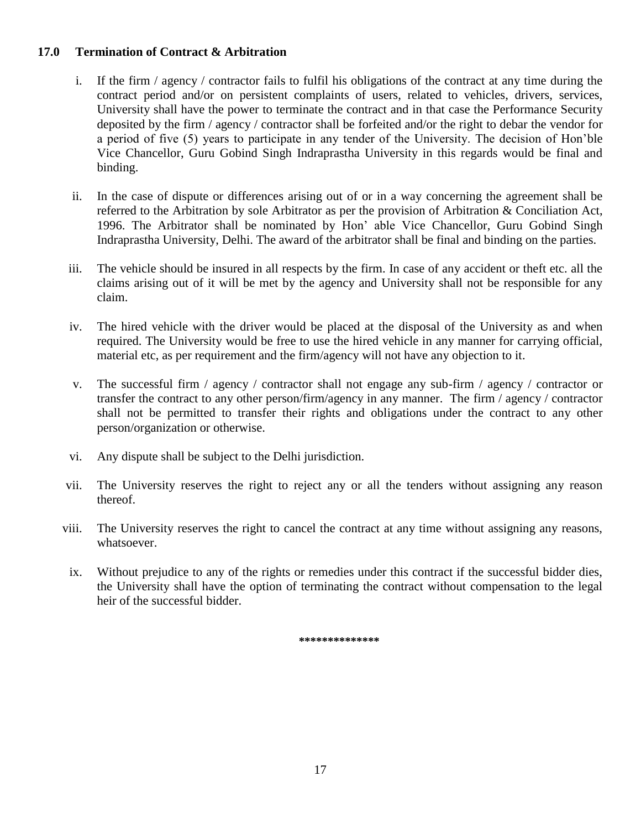# **17.0 Termination of Contract & Arbitration**

- i. If the firm / agency / contractor fails to fulfil his obligations of the contract at any time during the contract period and/or on persistent complaints of users, related to vehicles, drivers, services, University shall have the power to terminate the contract and in that case the Performance Security deposited by the firm / agency / contractor shall be forfeited and/or the right to debar the vendor for a period of five (5) years to participate in any tender of the University. The decision of Hon'ble Vice Chancellor, Guru Gobind Singh Indraprastha University in this regards would be final and binding.
- ii. In the case of dispute or differences arising out of or in a way concerning the agreement shall be referred to the Arbitration by sole Arbitrator as per the provision of Arbitration & Conciliation Act, 1996. The Arbitrator shall be nominated by Hon' able Vice Chancellor, Guru Gobind Singh Indraprastha University, Delhi. The award of the arbitrator shall be final and binding on the parties.
- iii. The vehicle should be insured in all respects by the firm. In case of any accident or theft etc. all the claims arising out of it will be met by the agency and University shall not be responsible for any claim.
- iv. The hired vehicle with the driver would be placed at the disposal of the University as and when required. The University would be free to use the hired vehicle in any manner for carrying official, material etc, as per requirement and the firm/agency will not have any objection to it.
- v. The successful firm / agency / contractor shall not engage any sub-firm / agency / contractor or transfer the contract to any other person/firm/agency in any manner. The firm / agency / contractor shall not be permitted to transfer their rights and obligations under the contract to any other person/organization or otherwise.
- vi. Any dispute shall be subject to the Delhi jurisdiction.
- vii. The University reserves the right to reject any or all the tenders without assigning any reason thereof.
- viii. The University reserves the right to cancel the contract at any time without assigning any reasons, whatsoever.
- ix. Without prejudice to any of the rights or remedies under this contract if the successful bidder dies, the University shall have the option of terminating the contract without compensation to the legal heir of the successful bidder.

**\*\*\*\*\*\*\*\*\*\*\*\*\*\***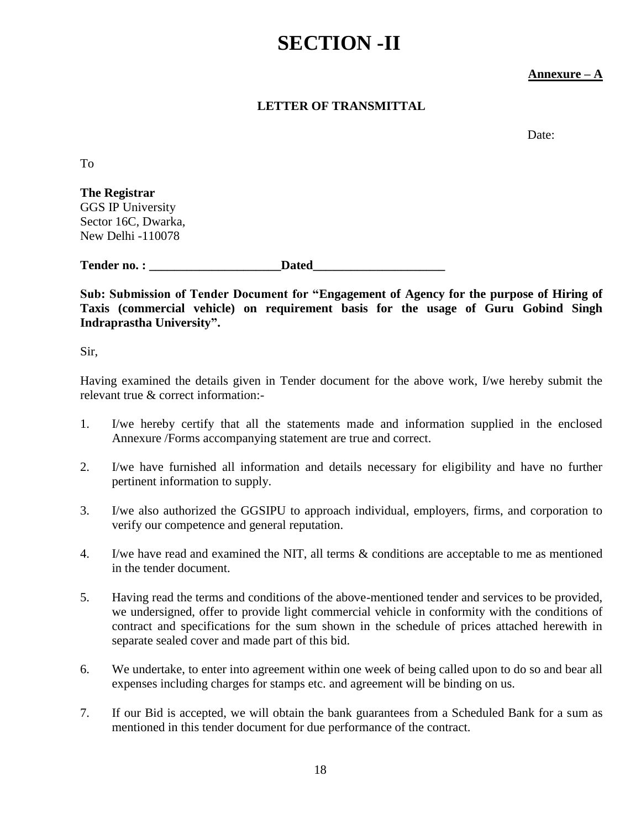# **SECTION -II**

# **Annexure – A**

# **LETTER OF TRANSMITTAL**

Date:

To

**The Registrar** GGS IP University Sector 16C, Dwarka, New Delhi -110078

Tender no. : **Dated** 

**Sub: Submission of Tender Document for "Engagement of Agency for the purpose of Hiring of Taxis (commercial vehicle) on requirement basis for the usage of Guru Gobind Singh Indraprastha University".**

Sir,

Having examined the details given in Tender document for the above work, I/we hereby submit the relevant true & correct information:-

- 1. I/we hereby certify that all the statements made and information supplied in the enclosed Annexure /Forms accompanying statement are true and correct.
- 2. I/we have furnished all information and details necessary for eligibility and have no further pertinent information to supply.
- 3. I/we also authorized the GGSIPU to approach individual, employers, firms, and corporation to verify our competence and general reputation.
- 4. I/we have read and examined the NIT, all terms & conditions are acceptable to me as mentioned in the tender document.
- 5. Having read the terms and conditions of the above-mentioned tender and services to be provided, we undersigned, offer to provide light commercial vehicle in conformity with the conditions of contract and specifications for the sum shown in the schedule of prices attached herewith in separate sealed cover and made part of this bid.
- 6. We undertake, to enter into agreement within one week of being called upon to do so and bear all expenses including charges for stamps etc. and agreement will be binding on us.
- 7. If our Bid is accepted, we will obtain the bank guarantees from a Scheduled Bank for a sum as mentioned in this tender document for due performance of the contract.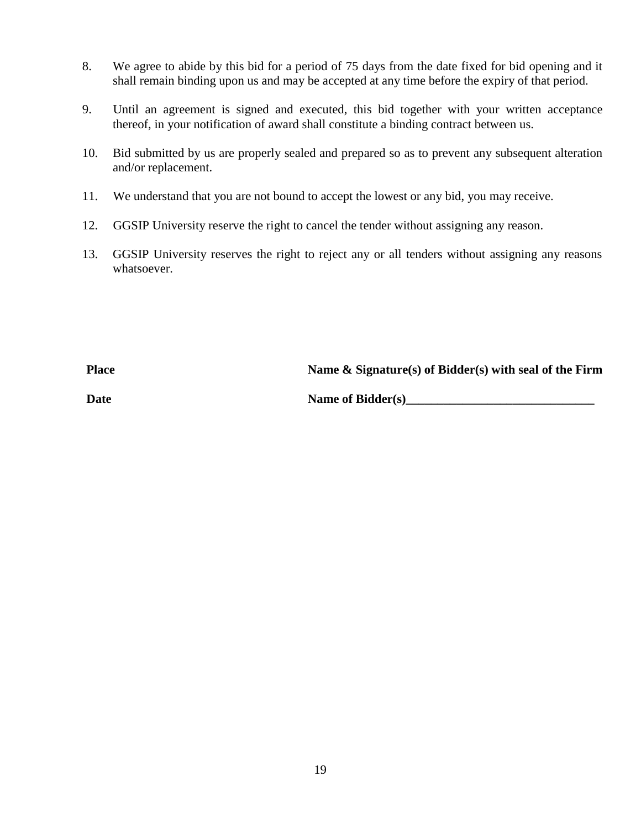- 8. We agree to abide by this bid for a period of 75 days from the date fixed for bid opening and it shall remain binding upon us and may be accepted at any time before the expiry of that period.
- 9. Until an agreement is signed and executed, this bid together with your written acceptance thereof, in your notification of award shall constitute a binding contract between us.
- 10. Bid submitted by us are properly sealed and prepared so as to prevent any subsequent alteration and/or replacement.
- 11. We understand that you are not bound to accept the lowest or any bid, you may receive.
- 12. GGSIP University reserve the right to cancel the tender without assigning any reason.
- 13. GGSIP University reserves the right to reject any or all tenders without assigning any reasons whatsoever.

**Place Name & Signature(s) of Bidder(s) with seal of the Firm**

**Date** Name of Bidder(s)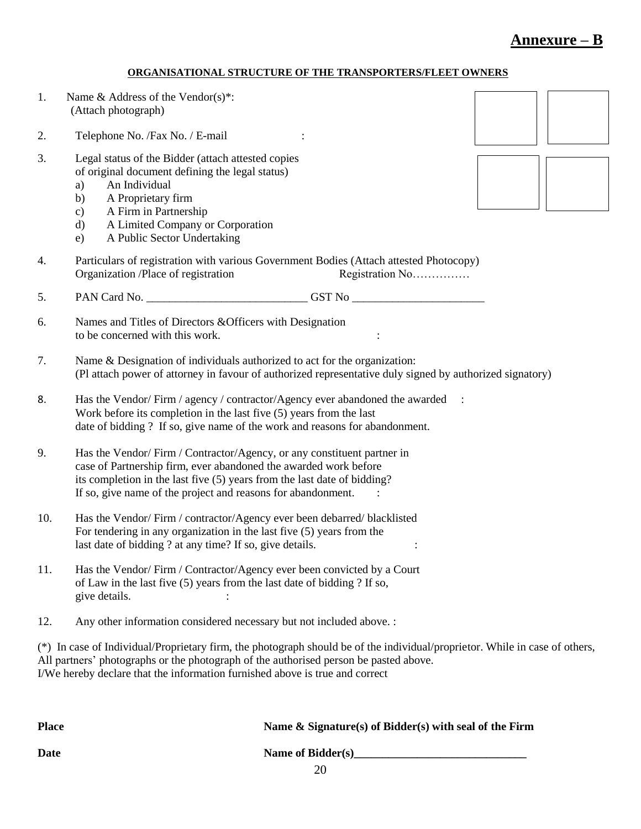# **Annexure – B**

#### **ORGANISATIONAL STRUCTURE OF THE TRANSPORTERS/FLEET OWNERS**

| 1.                                                                                                                                                                                                                                                                                                   | Name & Address of the Vendor(s)*:<br>(Attach photograph)                                                                                                                                                                                                                                |  |  |  |  |
|------------------------------------------------------------------------------------------------------------------------------------------------------------------------------------------------------------------------------------------------------------------------------------------------------|-----------------------------------------------------------------------------------------------------------------------------------------------------------------------------------------------------------------------------------------------------------------------------------------|--|--|--|--|
| 2.                                                                                                                                                                                                                                                                                                   | Telephone No. / Fax No. / E-mail                                                                                                                                                                                                                                                        |  |  |  |  |
| 3.                                                                                                                                                                                                                                                                                                   | Legal status of the Bidder (attach attested copies<br>of original document defining the legal status)<br>An Individual<br>a)<br>A Proprietary firm<br>b)<br>A Firm in Partnership<br>$\mathbf{c})$<br>A Limited Company or Corporation<br>$\rm d)$<br>A Public Sector Undertaking<br>e) |  |  |  |  |
| 4.                                                                                                                                                                                                                                                                                                   | Particulars of registration with various Government Bodies (Attach attested Photocopy)<br>Organization /Place of registration<br>Registration No                                                                                                                                        |  |  |  |  |
| 5.                                                                                                                                                                                                                                                                                                   | PAN Card No. ________________________________GST No _____________________________                                                                                                                                                                                                       |  |  |  |  |
| 6.                                                                                                                                                                                                                                                                                                   | Names and Titles of Directors & Officers with Designation<br>to be concerned with this work.                                                                                                                                                                                            |  |  |  |  |
| 7.                                                                                                                                                                                                                                                                                                   | Name & Designation of individuals authorized to act for the organization:<br>(Pl attach power of attorney in favour of authorized representative duly signed by authorized signatory)                                                                                                   |  |  |  |  |
| 8.                                                                                                                                                                                                                                                                                                   | Has the Vendor/Firm / agency / contractor/Agency ever abandoned the awarded :<br>Work before its completion in the last five (5) years from the last<br>date of bidding ? If so, give name of the work and reasons for abandonment.                                                     |  |  |  |  |
| 9.                                                                                                                                                                                                                                                                                                   | Has the Vendor/Firm / Contractor/Agency, or any constituent partner in<br>case of Partnership firm, ever abandoned the awarded work before<br>its completion in the last five (5) years from the last date of bidding?<br>If so, give name of the project and reasons for abandonment.  |  |  |  |  |
| 10.                                                                                                                                                                                                                                                                                                  | Has the Vendor/Firm / contractor/Agency ever been debarred/blacklisted<br>For tendering in any organization in the last five $(5)$ years from the<br>last date of bidding ? at any time? If so, give details.                                                                           |  |  |  |  |
| 11.                                                                                                                                                                                                                                                                                                  | Has the Vendor/Firm / Contractor/Agency ever been convicted by a Court<br>of Law in the last five (5) years from the last date of bidding ? If so,<br>give details.                                                                                                                     |  |  |  |  |
| 12.                                                                                                                                                                                                                                                                                                  | Any other information considered necessary but not included above. :                                                                                                                                                                                                                    |  |  |  |  |
| (*) In case of Individual/Proprietary firm, the photograph should be of the individual/proprietor. While in case of others,<br>All partners' photographs or the photograph of the authorised person be pasted above.<br>I/We hereby declare that the information furnished above is true and correct |                                                                                                                                                                                                                                                                                         |  |  |  |  |

| <b>Place</b> | Name & Signature(s) of Bidder(s) with seal of the Firm |
|--------------|--------------------------------------------------------|
| <b>Date</b>  | Name of Bidder(s)                                      |
|              | 20                                                     |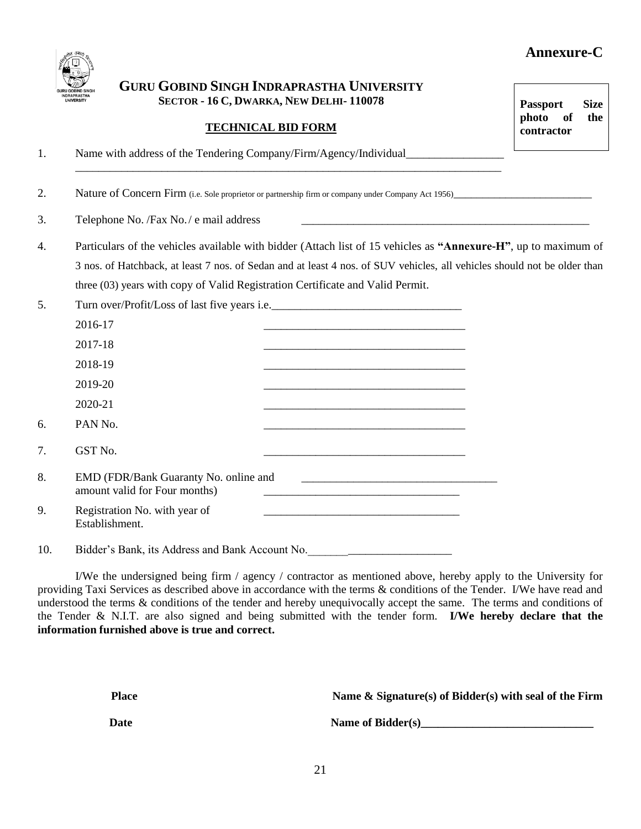# **Annexure-C**



# **GURU GOBIND SINGH INDRAPRASTHA UNIVERSITY SECTOR - 16 C, DWARKA, NEW DELHI- 110078**

\_\_\_\_\_\_\_\_\_\_\_\_\_\_\_\_\_\_\_\_\_\_\_\_\_\_\_\_\_\_\_\_\_\_\_\_\_\_\_\_\_\_\_\_\_\_\_\_\_\_\_\_\_\_\_\_\_\_\_\_\_\_\_\_\_\_\_\_\_\_\_\_\_\_

# **TECHNICAL BID FORM**

1. Name with address of the Tendering Company/Firm/Agency/Individual\_\_\_\_\_\_\_\_\_\_\_\_

2. Nature of Concern Firm (i.e. Sole proprietor or partnership firm or company under Company Act 1956)

3. Telephone No. /Fax No. / e mail address

- 4. Particulars of the vehicles available with bidder (Attach list of 15 vehicles as **"Annexure-H"**, up to maximum of 3 nos. of Hatchback, at least 7 nos. of Sedan and at least 4 nos. of SUV vehicles, all vehicles should not be older than three (03) years with copy of Valid Registration Certificate and Valid Permit.
- 5. Turn over/Profit/Loss of last five years i.e.

|     | 2016-17                                                                |  |  |  |
|-----|------------------------------------------------------------------------|--|--|--|
|     | 2017-18                                                                |  |  |  |
|     | 2018-19                                                                |  |  |  |
|     | 2019-20                                                                |  |  |  |
|     | 2020-21                                                                |  |  |  |
| 6.  | PAN No.                                                                |  |  |  |
| 7.  | GST No.                                                                |  |  |  |
| 8.  | EMD (FDR/Bank Guaranty No. online and<br>amount valid for Four months) |  |  |  |
| 9.  | Registration No. with year of<br>Establishment.                        |  |  |  |
| 10. | Bidder's Bank, its Address and Bank Account No.                        |  |  |  |

I/We the undersigned being firm / agency / contractor as mentioned above, hereby apply to the University for providing Taxi Services as described above in accordance with the terms & conditions of the Tender. I/We have read and understood the terms & conditions of the tender and hereby unequivocally accept the same. The terms and conditions of the Tender & N.I.T. are also signed and being submitted with the tender form. **I/We hereby declare that the information furnished above is true and correct.**

| Place | Name & Signature(s) of Bidder(s) with seal of the Firm |
|-------|--------------------------------------------------------|
| Date  | Name of Bidder(s)                                      |

**Passport Size photo of the contractor**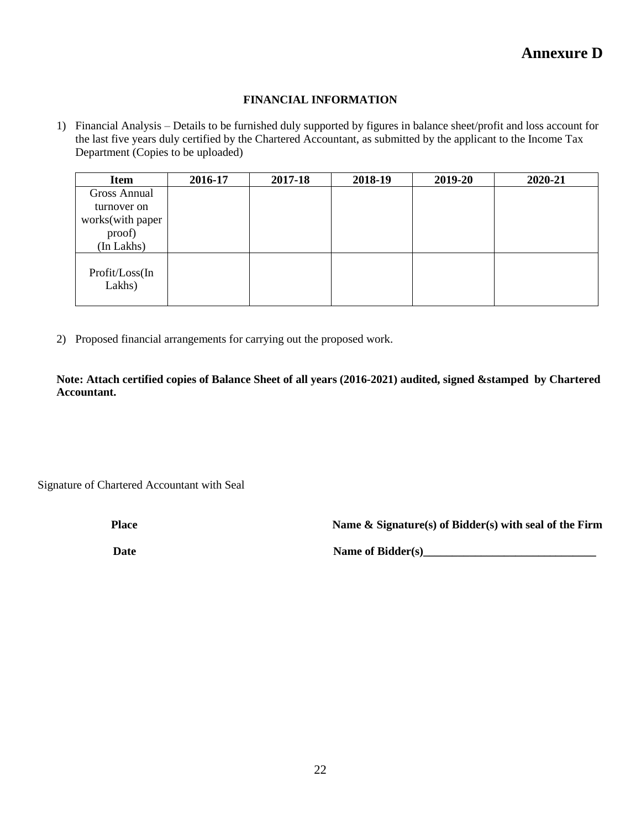#### **FINANCIAL INFORMATION**

1) Financial Analysis – Details to be furnished duly supported by figures in balance sheet/profit and loss account for the last five years duly certified by the Chartered Accountant, as submitted by the applicant to the Income Tax Department (Copies to be uploaded)

| <b>Item</b>              | 2016-17 | 2017-18 | 2018-19 | 2019-20 | 2020-21 |
|--------------------------|---------|---------|---------|---------|---------|
| <b>Gross Annual</b>      |         |         |         |         |         |
| turnover on              |         |         |         |         |         |
| works(with paper         |         |         |         |         |         |
| proof)                   |         |         |         |         |         |
| (In Lakhs)               |         |         |         |         |         |
| Profit/Loss(In<br>Lakhs) |         |         |         |         |         |

2) Proposed financial arrangements for carrying out the proposed work.

**Note: Attach certified copies of Balance Sheet of all years (2016-2021) audited, signed &stamped by Chartered Accountant.**

Signature of Chartered Accountant with Seal

**Place Name & Signature(s) of Bidder(s) with seal of the Firm**

Date Name of Bidder(s)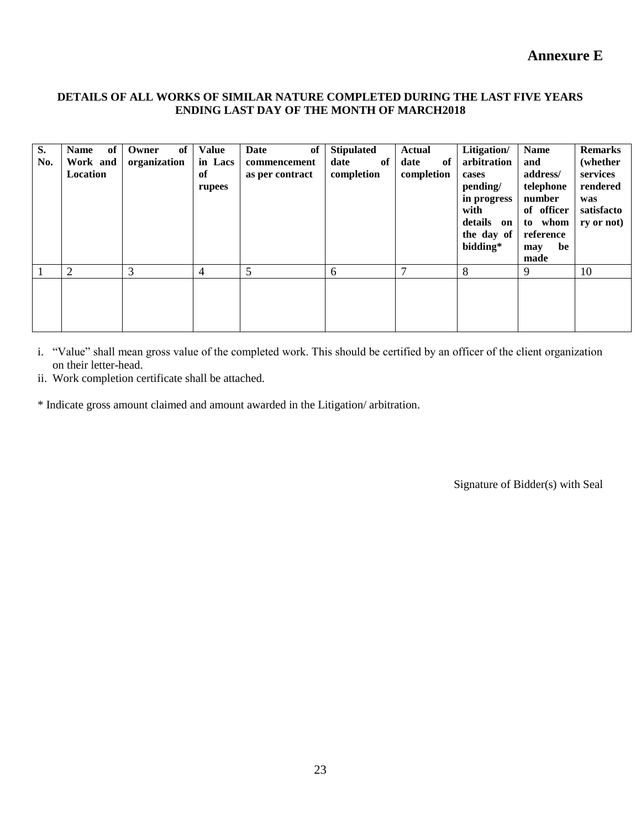#### **DETAILS OF ALL WORKS OF SIMILAR NATURE COMPLETED DURING THE LAST FIVE YEARS ENDING LAST DAY OF THE MONTH OF MARCH2018**

| S.<br>No. | of <sub>1</sub><br><b>Name</b><br>Work and<br>Location | of<br>Owner<br>organization | <b>Value</b><br>in Lacs<br>of<br>rupees | of<br>Date<br>commencement<br>as per contract | <b>Stipulated</b><br>of<br>date<br>completion | <b>Actual</b><br>of<br>date<br>completion | Litigation/<br>arbitration<br>cases<br>pending/<br>in progress<br>with<br>details on<br>the day of<br>bidding* | <b>Name</b><br>and<br>address/<br>telephone<br>number<br>of officer<br>to whom<br>reference<br>be<br>may<br>made | <b>Remarks</b><br>(whether<br>services<br>rendered<br>was<br>satisfacto<br>ry or not |
|-----------|--------------------------------------------------------|-----------------------------|-----------------------------------------|-----------------------------------------------|-----------------------------------------------|-------------------------------------------|----------------------------------------------------------------------------------------------------------------|------------------------------------------------------------------------------------------------------------------|--------------------------------------------------------------------------------------|
|           | 2                                                      | 3                           | 4                                       | 5                                             | 6                                             | $\mathbf{r}$                              | 8                                                                                                              | 9                                                                                                                | 10                                                                                   |
|           |                                                        |                             |                                         |                                               |                                               |                                           |                                                                                                                |                                                                                                                  |                                                                                      |

i. "Value" shall mean gross value of the completed work. This should be certified by an officer of the client organization on their letter-head.

ii. Work completion certificate shall be attached.

\* Indicate gross amount claimed and amount awarded in the Litigation/ arbitration.

Signature of Bidder(s) with Seal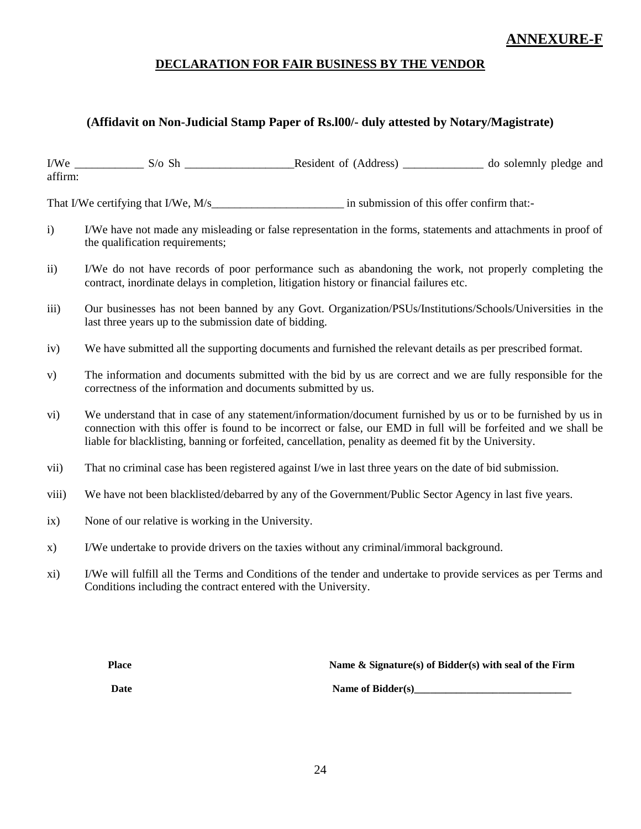# **ANNEXURE-F**

# **DECLARATION FOR FAIR BUSINESS BY THE VENDOR**

# **(Affidavit on Non-Judicial Stamp Paper of Rs.l00/- duly attested by Notary/Magistrate)**

| I/We    | $S/\sigma$ Sh | Resident of (Address) | do solemnly pledge and |
|---------|---------------|-----------------------|------------------------|
| affirm: |               |                       |                        |

That I/We certifying that I/We, M/s and the submission of this offer confirm that:-

- i) I/We have not made any misleading or false representation in the forms, statements and attachments in proof of the qualification requirements;
- ii) I/We do not have records of poor performance such as abandoning the work, not properly completing the contract, inordinate delays in completion, litigation history or financial failures etc.
- iii) Our businesses has not been banned by any Govt. Organization/PSUs/Institutions/Schools/Universities in the last three years up to the submission date of bidding.
- iv) We have submitted all the supporting documents and furnished the relevant details as per prescribed format.
- v) The information and documents submitted with the bid by us are correct and we are fully responsible for the correctness of the information and documents submitted by us.
- vi) We understand that in case of any statement/information/document furnished by us or to be furnished by us in connection with this offer is found to be incorrect or false, our EMD in full will be forfeited and we shall be liable for blacklisting, banning or forfeited, cancellation, penality as deemed fit by the University.
- vii) That no criminal case has been registered against I/we in last three years on the date of bid submission.
- viii) We have not been blacklisted/debarred by any of the Government/Public Sector Agency in last five years.
- ix) None of our relative is working in the University.
- x) I/We undertake to provide drivers on the taxies without any criminal/immoral background.
- xi) I/We will fulfill all the Terms and Conditions of the tender and undertake to provide services as per Terms and Conditions including the contract entered with the University.

**Place Name & Signature(s) of Bidder(s) with seal of the Firm**

**Date Name of Bidder(s)**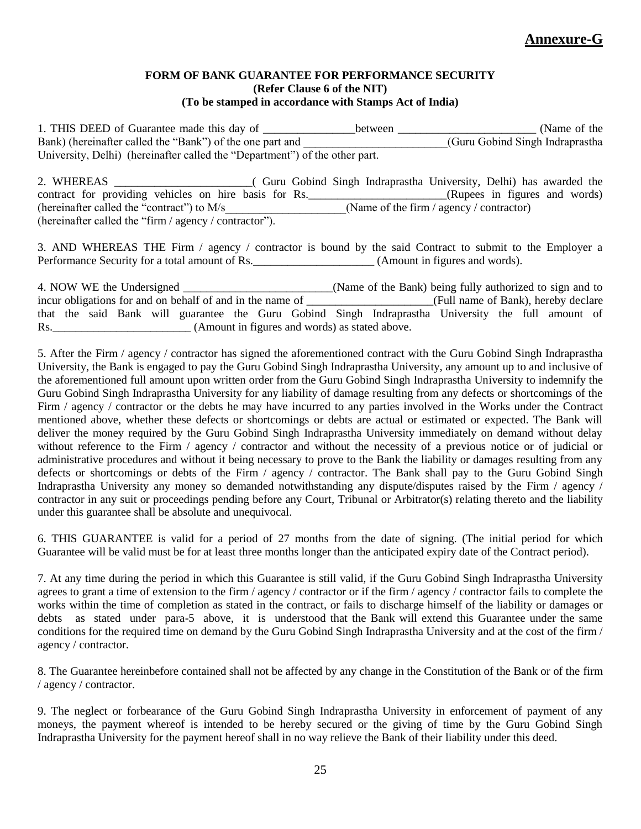#### **FORM OF BANK GUARANTEE FOR PERFORMANCE SECURITY (Refer Clause 6 of the NIT) (To be stamped in accordance with Stamps Act of India)**

1. THIS DEED of Guarantee made this day of \_\_\_\_\_\_\_\_\_\_\_\_\_\_\_\_between \_\_\_\_\_\_\_\_\_\_\_\_\_\_\_\_\_\_\_\_\_\_\_\_ (Name of the Bank) (hereinafter called the "Bank") of the one part and  $\overline{(\text{Guru Gobind Singh Indrapr})}$ University, Delhi) (hereinafter called the "Department") of the other part.

2. WHEREAS \_\_\_\_\_\_\_\_\_\_\_\_\_\_\_\_\_\_\_\_\_\_\_\_( Guru Gobind Singh Indraprastha University, Delhi) has awarded the contract for providing vehicles on hire basis for Rs.\_\_\_\_\_\_\_\_\_\_\_\_\_\_\_\_\_\_\_\_\_\_\_\_\_(Rupees in figures and words) (hereinafter called the "contract") to  $M/s$  (Name of the firm / agency / contractor) (hereinafter called the "firm / agency / contractor").

3. AND WHEREAS THE Firm / agency / contractor is bound by the said Contract to submit to the Employer a Performance Security for a total amount of Rs. (Amount in figures and words).

4. NOW WE the Undersigned \_\_\_\_\_\_\_\_\_\_\_\_\_\_\_\_\_\_\_\_\_\_\_\_\_\_(Name of the Bank) being fully authorized to sign and to incur obligations for and on behalf of and in the name of \_\_\_\_\_\_\_\_\_\_\_\_\_\_\_\_\_\_\_\_\_\_(Full name of Bank), hereby declare that the said Bank will guarantee the Guru Gobind Singh Indraprastha University the full amount of Rs.\_\_\_\_\_\_\_\_\_\_\_\_\_\_\_\_\_\_\_\_\_\_\_\_ (Amount in figures and words) as stated above.

5. After the Firm / agency / contractor has signed the aforementioned contract with the Guru Gobind Singh Indraprastha University, the Bank is engaged to pay the Guru Gobind Singh Indraprastha University, any amount up to and inclusive of the aforementioned full amount upon written order from the Guru Gobind Singh Indraprastha University to indemnify the Guru Gobind Singh Indraprastha University for any liability of damage resulting from any defects or shortcomings of the Firm / agency / contractor or the debts he may have incurred to any parties involved in the Works under the Contract mentioned above, whether these defects or shortcomings or debts are actual or estimated or expected. The Bank will deliver the money required by the Guru Gobind Singh Indraprastha University immediately on demand without delay without reference to the Firm / agency / contractor and without the necessity of a previous notice or of judicial or administrative procedures and without it being necessary to prove to the Bank the liability or damages resulting from any defects or shortcomings or debts of the Firm / agency / contractor. The Bank shall pay to the Guru Gobind Singh Indraprastha University any money so demanded notwithstanding any dispute/disputes raised by the Firm / agency / contractor in any suit or proceedings pending before any Court, Tribunal or Arbitrator(s) relating thereto and the liability under this guarantee shall be absolute and unequivocal.

6. THIS GUARANTEE is valid for a period of 27 months from the date of signing. (The initial period for which Guarantee will be valid must be for at least three months longer than the anticipated expiry date of the Contract period).

7. At any time during the period in which this Guarantee is still valid, if the Guru Gobind Singh Indraprastha University agrees to grant a time of extension to the firm / agency / contractor or if the firm / agency / contractor fails to complete the works within the time of completion as stated in the contract, or fails to discharge himself of the liability or damages or debts as stated under para-5 above, it is understood that the Bank will extend this Guarantee under the same conditions for the required time on demand by the Guru Gobind Singh Indraprastha University and at the cost of the firm / agency / contractor.

8. The Guarantee hereinbefore contained shall not be affected by any change in the Constitution of the Bank or of the firm / agency / contractor.

9. The neglect or forbearance of the Guru Gobind Singh Indraprastha University in enforcement of payment of any moneys, the payment whereof is intended to be hereby secured or the giving of time by the Guru Gobind Singh Indraprastha University for the payment hereof shall in no way relieve the Bank of their liability under this deed.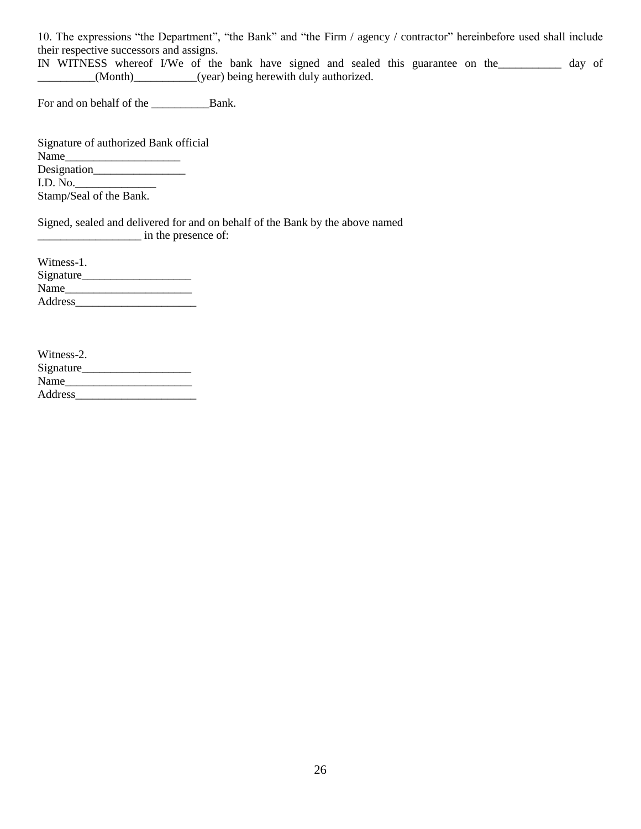10. The expressions "the Department", "the Bank" and "the Firm / agency / contractor" hereinbefore used shall include their respective successors and assigns.

IN WITNESS whereof I/We of the bank have signed and sealed this guarantee on the\_\_\_\_\_\_\_\_\_\_\_ day of \_\_\_\_\_\_\_\_\_\_(Month)\_\_\_\_\_\_\_\_\_\_\_(year) being herewith duly authorized.

For and on behalf of the \_\_\_\_\_\_\_\_\_\_Bank.

Signature of authorized Bank official Name\_ Designation\_\_\_\_\_\_\_\_\_\_\_\_\_\_\_\_ I.D. No.\_\_\_\_\_\_\_\_\_\_\_\_\_\_ Stamp/Seal of the Bank.

Signed, sealed and delivered for and on behalf of the Bank by the above named \_\_\_\_\_\_\_\_\_\_\_\_\_\_\_\_\_\_ in the presence of:

| Witness-1. |  |
|------------|--|
| Signature  |  |
| Name       |  |
| Address    |  |

| Witness-2. |  |
|------------|--|
| Signature  |  |
| Name       |  |
| Address    |  |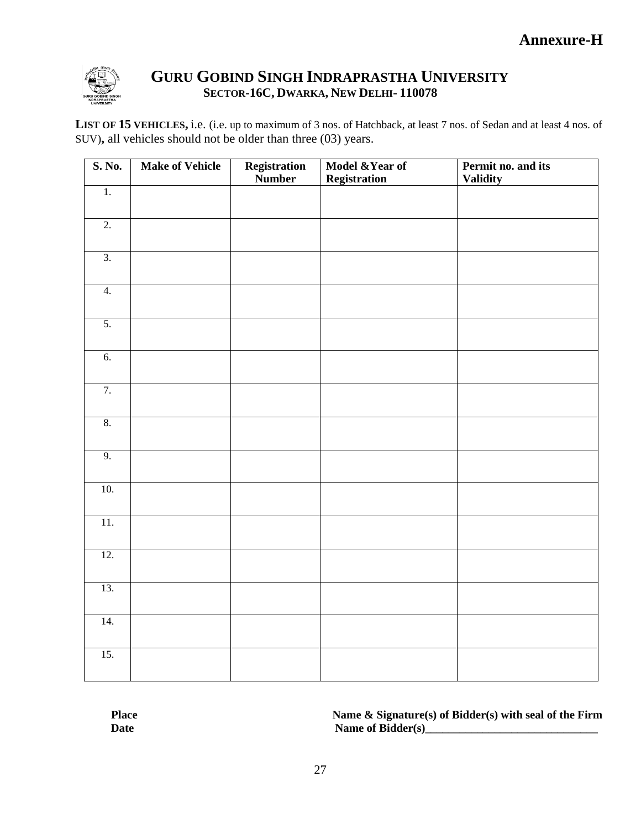

# **GURU GOBIND SINGH INDRAPRASTHA UNIVERSITY SECTOR-16C, DWARKA, NEW DELHI- 110078**

**LIST OF 15 VEHICLES,** i.e. (i.e. up to maximum of 3 nos. of Hatchback, at least 7 nos. of Sedan and at least 4 nos. of SUV)**,** all vehicles should not be older than three (03) years.

| S. No.            | <b>Make of Vehicle</b> | Registration<br>Number | Model & Year of<br><b>Registration</b> | Permit no. and its<br><b>Validity</b> |
|-------------------|------------------------|------------------------|----------------------------------------|---------------------------------------|
| $\overline{1}$ .  |                        |                        |                                        |                                       |
| $\overline{2}$ .  |                        |                        |                                        |                                       |
| $\overline{3}$ .  |                        |                        |                                        |                                       |
| $\overline{4}$ .  |                        |                        |                                        |                                       |
| 5.                |                        |                        |                                        |                                       |
| 6.                |                        |                        |                                        |                                       |
| 7.                |                        |                        |                                        |                                       |
| 8.                |                        |                        |                                        |                                       |
| 9.                |                        |                        |                                        |                                       |
| 10.               |                        |                        |                                        |                                       |
| $\overline{11}$ . |                        |                        |                                        |                                       |
| 12.               |                        |                        |                                        |                                       |
| 13.               |                        |                        |                                        |                                       |
| 14.               |                        |                        |                                        |                                       |
| $\overline{15}$ . |                        |                        |                                        |                                       |

**Place Name & Signature(s) of Bidder(s) with seal of the Firm** Date Name of Bidder(s)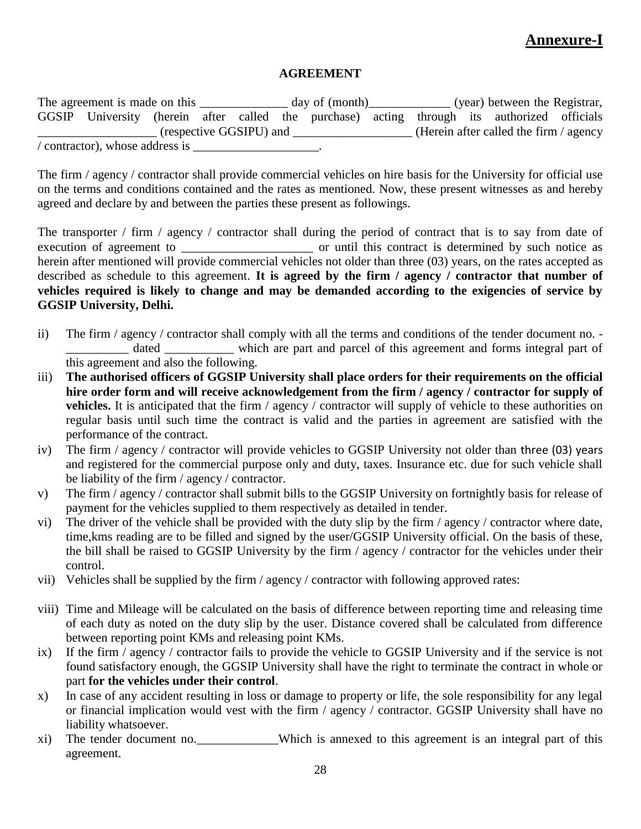# **Annexure-I**

## **AGREEMENT**

The agreement is made on this \_\_\_\_\_\_\_\_\_\_\_\_\_ day of (month)\_\_\_\_\_\_\_\_\_\_\_\_ (year) between the Registrar, GGSIP University (herein after called the purchase) acting through its authorized officials \_\_\_\_\_\_\_\_\_\_\_\_\_\_\_\_\_\_\_ (respective GGSIPU) and \_\_\_\_\_\_\_\_\_\_\_\_\_\_\_\_\_\_\_ (Herein after called the firm / agency  $\prime$  contractor), whose address is  $\_\_\_\_\_\_\_\_\_\_\_\_\_\_\_\_\_\_\_\_\_$ .

The firm / agency / contractor shall provide commercial vehicles on hire basis for the University for official use on the terms and conditions contained and the rates as mentioned. Now, these present witnesses as and hereby agreed and declare by and between the parties these present as followings.

The transporter / firm / agency / contractor shall during the period of contract that is to say from date of execution of agreement to \_\_\_\_\_\_\_\_\_\_\_\_\_\_\_\_\_\_\_\_\_\_\_\_\_\_\_ or until this contract is determined by such notice as herein after mentioned will provide commercial vehicles not older than three (03) years, on the rates accepted as described as schedule to this agreement. **It is agreed by the firm / agency / contractor that number of vehicles required is likely to change and may be demanded according to the exigencies of service by GGSIP University, Delhi.**

- ii) The firm / agency / contractor shall comply with all the terms and conditions of the tender document no. dated which are part and parcel of this agreement and forms integral part of this agreement and also the following.
- iii) **The authorised officers of GGSIP University shall place orders for their requirements on the official hire order form and will receive acknowledgement from the firm / agency / contractor for supply of vehicles.** It is anticipated that the firm / agency / contractor will supply of vehicle to these authorities on regular basis until such time the contract is valid and the parties in agreement are satisfied with the performance of the contract.
- iv) The firm / agency / contractor will provide vehicles to GGSIP University not older than three (03) years and registered for the commercial purpose only and duty, taxes. Insurance etc. due for such vehicle shall be liability of the firm / agency / contractor.
- v) The firm / agency / contractor shall submit bills to the GGSIP University on fortnightly basis for release of payment for the vehicles supplied to them respectively as detailed in tender.
- vi) The driver of the vehicle shall be provided with the duty slip by the firm / agency / contractor where date, time,kms reading are to be filled and signed by the user/GGSIP University official. On the basis of these, the bill shall be raised to GGSIP University by the firm / agency / contractor for the vehicles under their control.
- vii) Vehicles shall be supplied by the firm / agency / contractor with following approved rates:
- viii) Time and Mileage will be calculated on the basis of difference between reporting time and releasing time of each duty as noted on the duty slip by the user. Distance covered shall be calculated from difference between reporting point KMs and releasing point KMs.
- ix) If the firm / agency / contractor fails to provide the vehicle to GGSIP University and if the service is not found satisfactory enough, the GGSIP University shall have the right to terminate the contract in whole or part **for the vehicles under their control**.
- x) In case of any accident resulting in loss or damage to property or life, the sole responsibility for any legal or financial implication would vest with the firm / agency / contractor. GGSIP University shall have no liability whatsoever.
- xi) The tender document no.\_\_\_\_\_\_\_\_\_\_\_\_\_Which is annexed to this agreement is an integral part of this agreement.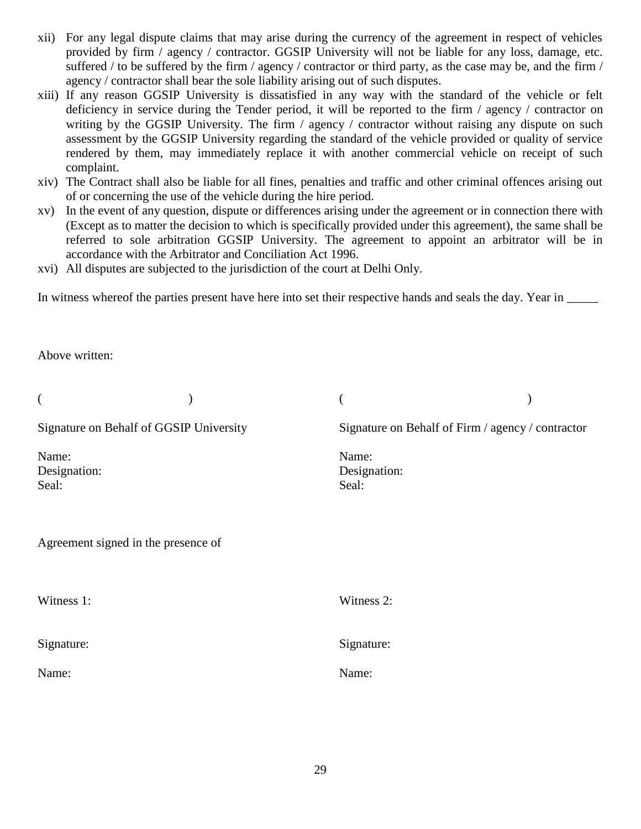- xii) For any legal dispute claims that may arise during the currency of the agreement in respect of vehicles provided by firm / agency / contractor. GGSIP University will not be liable for any loss, damage, etc. suffered / to be suffered by the firm / agency / contractor or third party, as the case may be, and the firm / agency / contractor shall bear the sole liability arising out of such disputes.
- xiii) If any reason GGSIP University is dissatisfied in any way with the standard of the vehicle or felt deficiency in service during the Tender period, it will be reported to the firm / agency / contractor on writing by the GGSIP University. The firm / agency / contractor without raising any dispute on such assessment by the GGSIP University regarding the standard of the vehicle provided or quality of service rendered by them, may immediately replace it with another commercial vehicle on receipt of such complaint.
- xiv) The Contract shall also be liable for all fines, penalties and traffic and other criminal offences arising out of or concerning the use of the vehicle during the hire period.
- xv) In the event of any question, dispute or differences arising under the agreement or in connection there with (Except as to matter the decision to which is specifically provided under this agreement), the same shall be referred to sole arbitration GGSIP University. The agreement to appoint an arbitrator will be in accordance with the Arbitrator and Conciliation Act 1996.
- xvi) All disputes are subjected to the jurisdiction of the court at Delhi Only.

In witness whereof the parties present have here into set their respective hands and seals the day. Year in \_\_\_\_\_\_\_

Above written:

| (                                       |                                                   |  |
|-----------------------------------------|---------------------------------------------------|--|
| Signature on Behalf of GGSIP University | Signature on Behalf of Firm / agency / contractor |  |
| Name:<br>Designation:<br>Seal:          | Name:<br>Designation:<br>Seal:                    |  |
| Agreement signed in the presence of     |                                                   |  |
| Witness 1:                              | Witness 2:                                        |  |
| Signature:                              | Signature:                                        |  |
| Name:                                   | Name:                                             |  |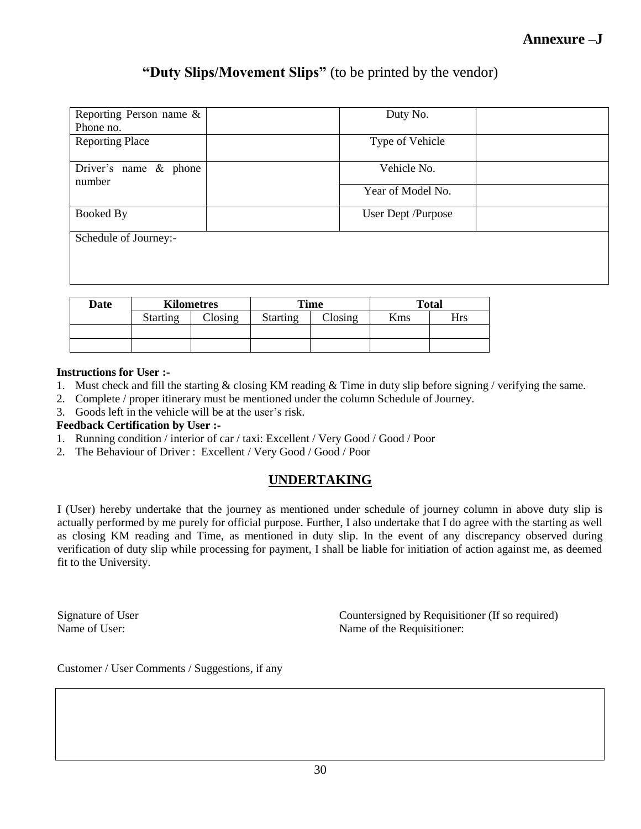# **"Duty Slips/Movement Slips"** (to be printed by the vendor)

| Reporting Person name &<br>Phone no. | Duty No.           |
|--------------------------------------|--------------------|
|                                      |                    |
| <b>Reporting Place</b>               | Type of Vehicle    |
| Driver's name $\&$ phone<br>number   | Vehicle No.        |
|                                      | Year of Model No.  |
| <b>Booked By</b>                     | User Dept /Purpose |
| Schedule of Journey:-                |                    |
|                                      |                    |
|                                      |                    |

| Date | <b>Kilometres</b> |         | Time            |                 | <b>Total</b> |     |
|------|-------------------|---------|-----------------|-----------------|--------------|-----|
|      | <b>Starting</b>   | Closing | <b>Starting</b> | $\gamma$ losing | Kms          | Hrs |
|      |                   |         |                 |                 |              |     |
|      |                   |         |                 |                 |              |     |

### **Instructions for User :-**

- 1. Must check and fill the starting & closing KM reading & Time in duty slip before signing / verifying the same.
- 2. Complete / proper itinerary must be mentioned under the column Schedule of Journey.
- 3. Goods left in the vehicle will be at the user's risk.

### **Feedback Certification by User :-**

- 1. Running condition / interior of car / taxi: Excellent / Very Good / Good / Poor
- 2. The Behaviour of Driver : Excellent / Very Good / Good / Poor

# **UNDERTAKING**

I (User) hereby undertake that the journey as mentioned under schedule of journey column in above duty slip is actually performed by me purely for official purpose. Further, I also undertake that I do agree with the starting as well as closing KM reading and Time, as mentioned in duty slip. In the event of any discrepancy observed during verification of duty slip while processing for payment, I shall be liable for initiation of action against me, as deemed fit to the University.

Signature of User Countersigned by Requisitioner (If so required) Name of User: Name of the Requisitioner:

Customer / User Comments / Suggestions, if any